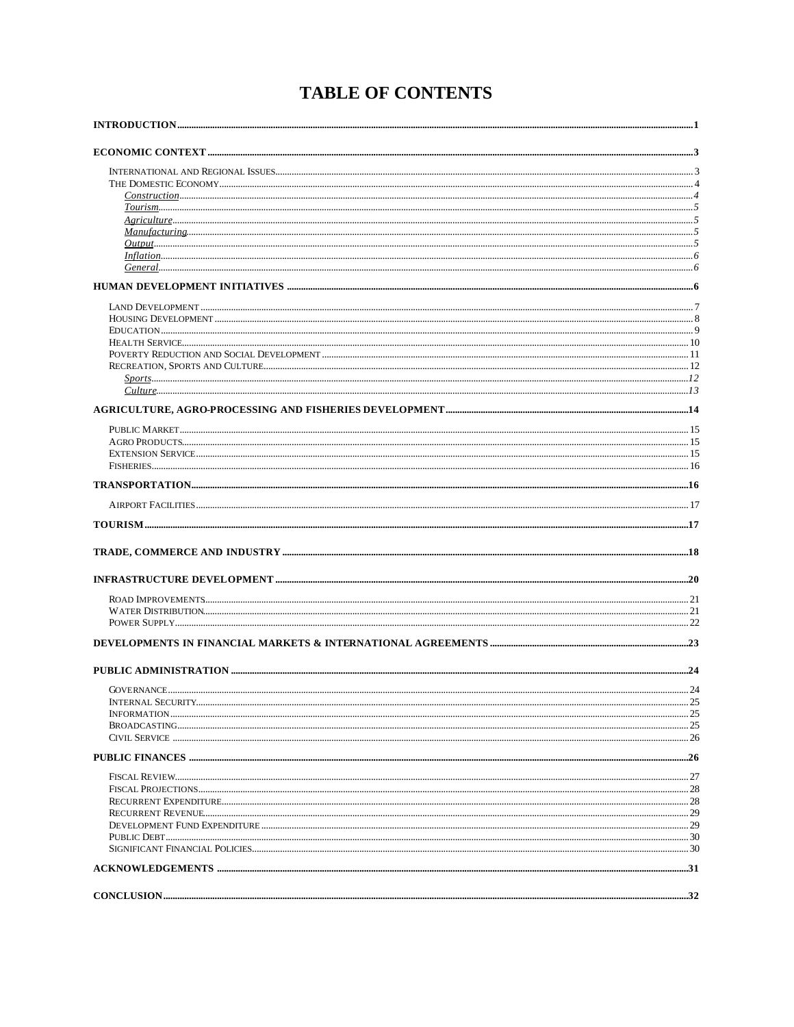# **TABLE OF CONTENTS**

|               | $\dots 25$ |
|---------------|------------|
|               |            |
|               |            |
|               |            |
|               |            |
|               |            |
|               |            |
|               |            |
|               |            |
|               |            |
|               |            |
|               |            |
|               |            |
|               |            |
| CONCLUSION 32 |            |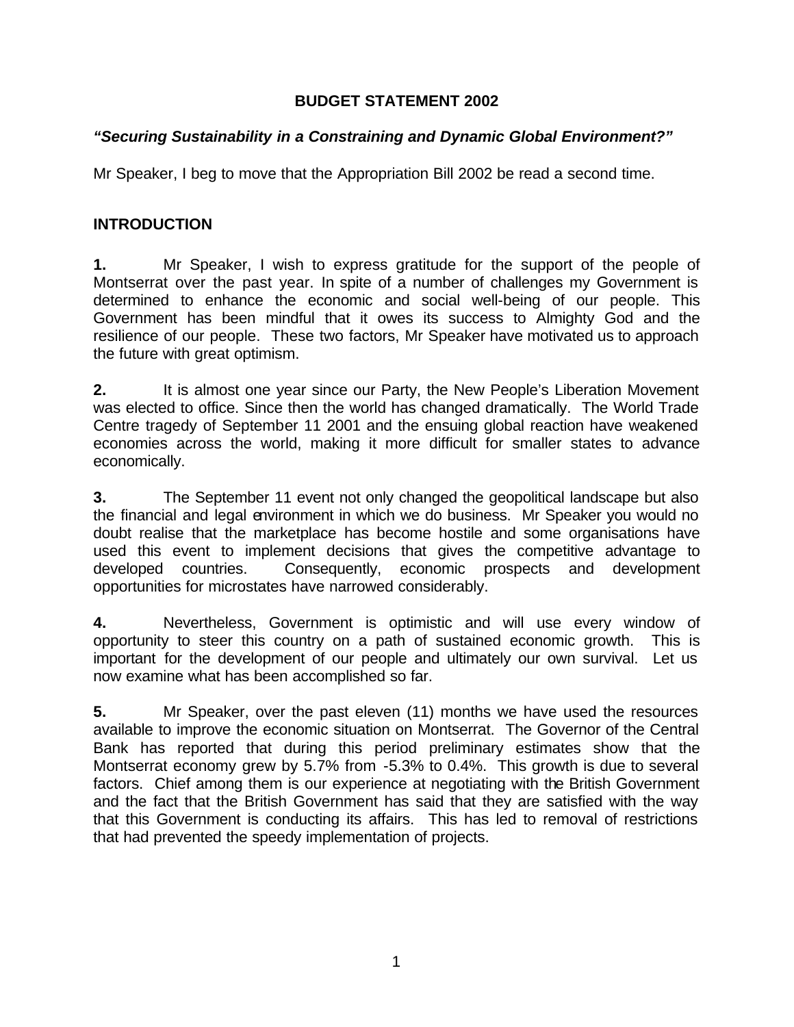### **BUDGET STATEMENT 2002**

### *"Securing Sustainability in a Constraining and Dynamic Global Environment?"*

Mr Speaker, I beg to move that the Appropriation Bill 2002 be read a second time.

### **INTRODUCTION**

**1.** Mr Speaker, I wish to express gratitude for the support of the people of Montserrat over the past year. In spite of a number of challenges my Government is determined to enhance the economic and social well-being of our people. This Government has been mindful that it owes its success to Almighty God and the resilience of our people. These two factors, Mr Speaker have motivated us to approach the future with great optimism.

**2.** It is almost one year since our Party, the New People's Liberation Movement was elected to office. Since then the world has changed dramatically. The World Trade Centre tragedy of September 11 2001 and the ensuing global reaction have weakened economies across the world, making it more difficult for smaller states to advance economically.

**3.** The September 11 event not only changed the geopolitical landscape but also the financial and legal environment in which we do business. Mr Speaker you would no doubt realise that the marketplace has become hostile and some organisations have used this event to implement decisions that gives the competitive advantage to developed countries. Consequently, economic prospects and development opportunities for microstates have narrowed considerably.

**4.** Nevertheless, Government is optimistic and will use every window of opportunity to steer this country on a path of sustained economic growth. This is important for the development of our people and ultimately our own survival. Let us now examine what has been accomplished so far.

**5.** Mr Speaker, over the past eleven (11) months we have used the resources available to improve the economic situation on Montserrat. The Governor of the Central Bank has reported that during this period preliminary estimates show that the Montserrat economy grew by 5.7% from -5.3% to 0.4%. This growth is due to several factors. Chief among them is our experience at negotiating with the British Government and the fact that the British Government has said that they are satisfied with the way that this Government is conducting its affairs. This has led to removal of restrictions that had prevented the speedy implementation of projects.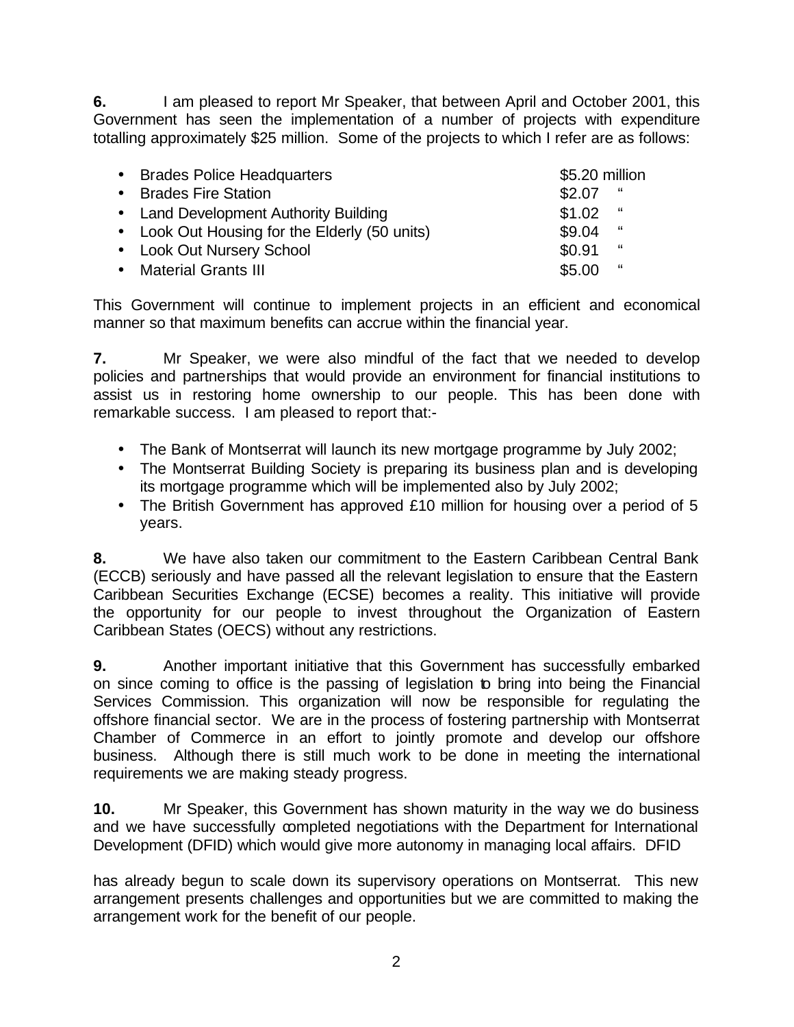**6.** I am pleased to report Mr Speaker, that between April and October 2001, this Government has seen the implementation of a number of projects with expenditure totalling approximately \$25 million. Some of the projects to which I refer are as follows:

| • Brades Police Headquarters                  | \$5.20 million |
|-----------------------------------------------|----------------|
| • Brades Fire Station                         | \$2.07<br>"    |
| • Land Development Authority Building         | \$1.02<br>"    |
| • Look Out Housing for the Elderly (50 units) | \$9.04<br>"    |
| • Look Out Nursery School                     | \$0.91<br>"    |
| • Material Grants III                         | \$5.00<br>"    |

This Government will continue to implement projects in an efficient and economical manner so that maximum benefits can accrue within the financial year.

**7.** Mr Speaker, we were also mindful of the fact that we needed to develop policies and partnerships that would provide an environment for financial institutions to assist us in restoring home ownership to our people. This has been done with remarkable success. I am pleased to report that:-

- The Bank of Montserrat will launch its new mortgage programme by July 2002;
- The Montserrat Building Society is preparing its business plan and is developing its mortgage programme which will be implemented also by July 2002;
- The British Government has approved £10 million for housing over a period of 5 years.

**8.** We have also taken our commitment to the Eastern Caribbean Central Bank (ECCB) seriously and have passed all the relevant legislation to ensure that the Eastern Caribbean Securities Exchange (ECSE) becomes a reality. This initiative will provide the opportunity for our people to invest throughout the Organization of Eastern Caribbean States (OECS) without any restrictions.

**9.** Another important initiative that this Government has successfully embarked on since coming to office is the passing of legislation to bring into being the Financial Services Commission. This organization will now be responsible for regulating the offshore financial sector. We are in the process of fostering partnership with Montserrat Chamber of Commerce in an effort to jointly promote and develop our offshore business. Although there is still much work to be done in meeting the international requirements we are making steady progress.

**10.** Mr Speaker, this Government has shown maturity in the way we do business and we have successfully completed negotiations with the Department for International Development (DFID) which would give more autonomy in managing local affairs. DFID

has already begun to scale down its supervisory operations on Montserrat. This new arrangement presents challenges and opportunities but we are committed to making the arrangement work for the benefit of our people.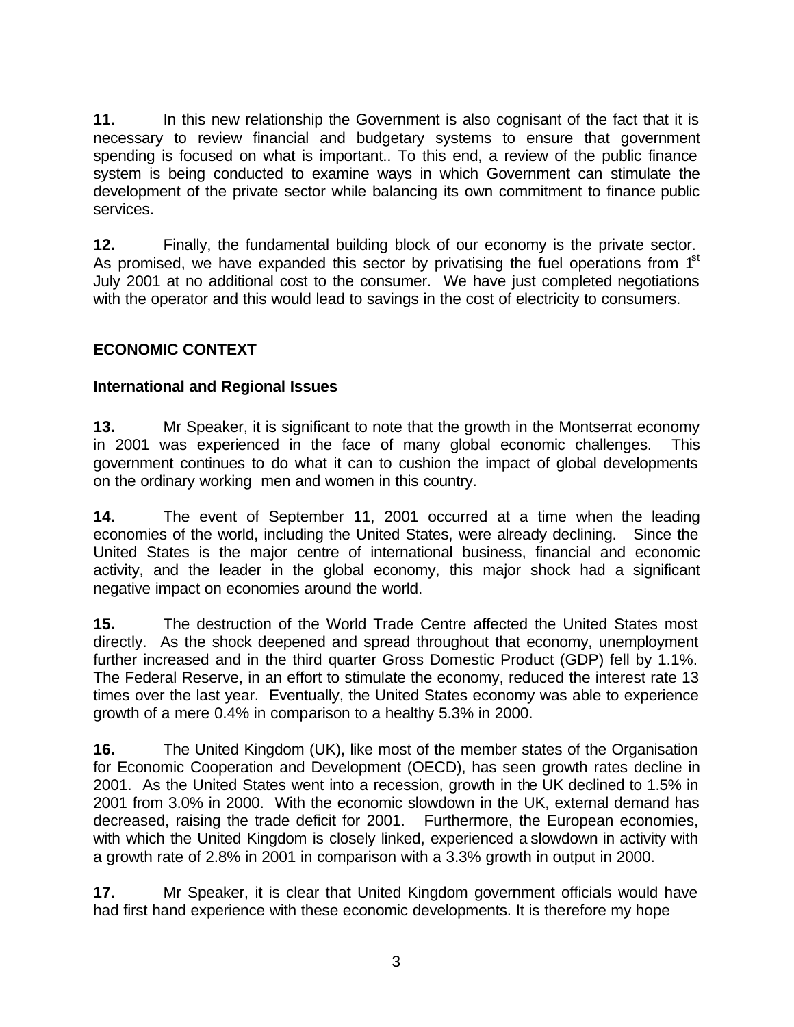**11.** In this new relationship the Government is also cognisant of the fact that it is necessary to review financial and budgetary systems to ensure that government spending is focused on what is important.. To this end, a review of the public finance system is being conducted to examine ways in which Government can stimulate the development of the private sector while balancing its own commitment to finance public services.

**12.** Finally, the fundamental building block of our economy is the private sector. As promised, we have expanded this sector by privatising the fuel operations from  $1<sup>st</sup>$ July 2001 at no additional cost to the consumer. We have just completed negotiations with the operator and this would lead to savings in the cost of electricity to consumers.

## **ECONOMIC CONTEXT**

### **International and Regional Issues**

**13.** Mr Speaker, it is significant to note that the growth in the Montserrat economy in 2001 was experienced in the face of many global economic challenges. This government continues to do what it can to cushion the impact of global developments on the ordinary working men and women in this country.

**14.** The event of September 11, 2001 occurred at a time when the leading economies of the world, including the United States, were already declining. Since the United States is the major centre of international business, financial and economic activity, and the leader in the global economy, this major shock had a significant negative impact on economies around the world.

**15.** The destruction of the World Trade Centre affected the United States most directly. As the shock deepened and spread throughout that economy, unemployment further increased and in the third quarter Gross Domestic Product (GDP) fell by 1.1%. The Federal Reserve, in an effort to stimulate the economy, reduced the interest rate 13 times over the last year. Eventually, the United States economy was able to experience growth of a mere 0.4% in comparison to a healthy 5.3% in 2000.

**16.** The United Kingdom (UK), like most of the member states of the Organisation for Economic Cooperation and Development (OECD), has seen growth rates decline in 2001. As the United States went into a recession, growth in the UK declined to 1.5% in 2001 from 3.0% in 2000. With the economic slowdown in the UK, external demand has decreased, raising the trade deficit for 2001. Furthermore, the European economies, with which the United Kingdom is closely linked, experienced a slowdown in activity with a growth rate of 2.8% in 2001 in comparison with a 3.3% growth in output in 2000.

**17.** Mr Speaker, it is clear that United Kingdom government officials would have had first hand experience with these economic developments. It is therefore my hope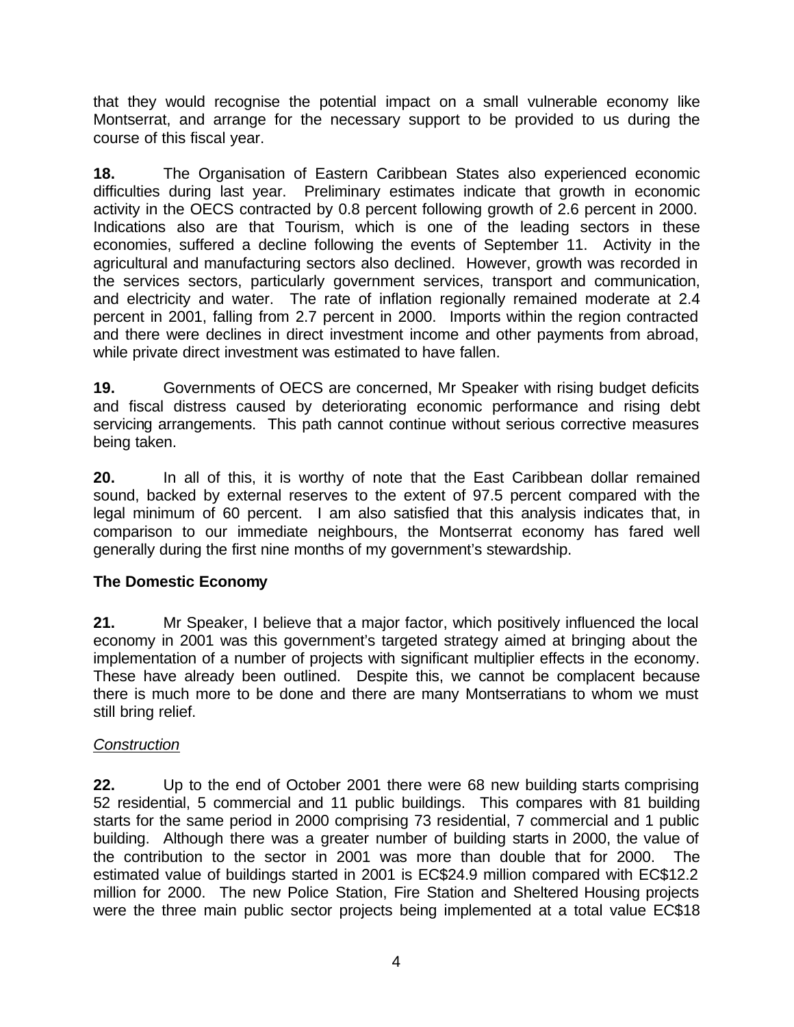that they would recognise the potential impact on a small vulnerable economy like Montserrat, and arrange for the necessary support to be provided to us during the course of this fiscal year.

**18.** The Organisation of Eastern Caribbean States also experienced economic difficulties during last year. Preliminary estimates indicate that growth in economic activity in the OECS contracted by 0.8 percent following growth of 2.6 percent in 2000. Indications also are that Tourism, which is one of the leading sectors in these economies, suffered a decline following the events of September 11. Activity in the agricultural and manufacturing sectors also declined. However, growth was recorded in the services sectors, particularly government services, transport and communication, and electricity and water. The rate of inflation regionally remained moderate at 2.4 percent in 2001, falling from 2.7 percent in 2000.Imports within the region contracted and there were declines in direct investment income and other payments from abroad, while private direct investment was estimated to have fallen.

**19.** Governments of OECS are concerned, Mr Speaker with rising budget deficits and fiscal distress caused by deteriorating economic performance and rising debt servicing arrangements. This path cannot continue without serious corrective measures being taken.

**20.** In all of this, it is worthy of note that the East Caribbean dollar remained sound, backed by external reserves to the extent of 97.5 percent compared with the legal minimum of 60 percent. I am also satisfied that this analysis indicates that, in comparison to our immediate neighbours, the Montserrat economy has fared well generally during the first nine months of my government's stewardship.

### **The Domestic Economy**

**21.** Mr Speaker, I believe that a major factor, which positively influenced the local economy in 2001 was this government's targeted strategy aimed at bringing about the implementation of a number of projects with significant multiplier effects in the economy. These have already been outlined. Despite this, we cannot be complacent because there is much more to be done and there are many Montserratians to whom we must still bring relief.

### *Construction*

**22.** Up to the end of October 2001 there were 68 new building starts comprising 52 residential, 5 commercial and 11 public buildings. This compares with 81 building starts for the same period in 2000 comprising 73 residential, 7 commercial and 1 public building. Although there was a greater number of building starts in 2000, the value of the contribution to the sector in 2001 was more than double that for 2000. The estimated value of buildings started in 2001 is EC\$24.9 million compared with EC\$12.2 million for 2000. The new Police Station, Fire Station and Sheltered Housing projects were the three main public sector projects being implemented at a total value EC\$18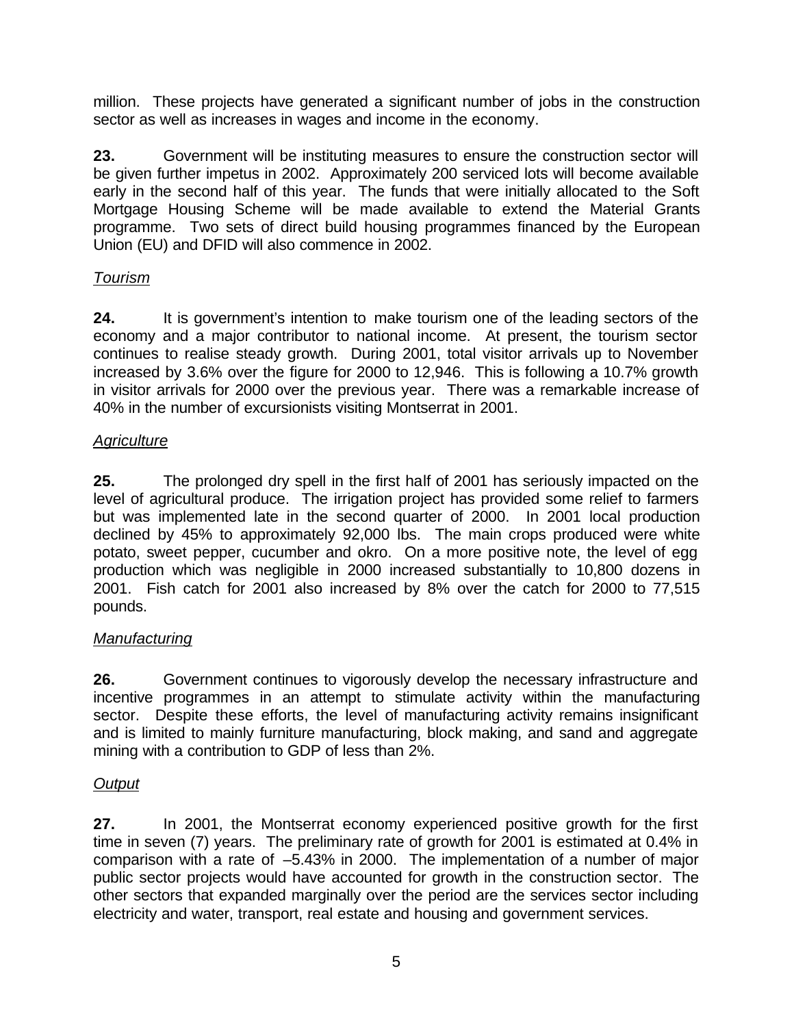million. These projects have generated a significant number of jobs in the construction sector as well as increases in wages and income in the economy.

**23.** Government will be instituting measures to ensure the construction sector will be given further impetus in 2002. Approximately 200 serviced lots will become available early in the second half of this year. The funds that were initially allocated to the Soft Mortgage Housing Scheme will be made available to extend the Material Grants programme. Two sets of direct build housing programmes financed by the European Union (EU) and DFID will also commence in 2002.

## *Tourism*

**24.** It is government's intention to make tourism one of the leading sectors of the economy and a major contributor to national income. At present, the tourism sector continues to realise steady growth. During 2001, total visitor arrivals up to November increased by 3.6% over the figure for 2000 to 12,946. This is following a 10.7% growth in visitor arrivals for 2000 over the previous year. There was a remarkable increase of 40% in the number of excursionists visiting Montserrat in 2001.

### *Agriculture*

**25.** The prolonged dry spell in the first half of 2001 has seriously impacted on the level of agricultural produce. The irrigation project has provided some relief to farmers but was implemented late in the second quarter of 2000. In 2001 local production declined by 45% to approximately 92,000 lbs. The main crops produced were white potato, sweet pepper, cucumber and okro. On a more positive note, the level of egg production which was negligible in 2000 increased substantially to 10,800 dozens in 2001. Fish catch for 2001 also increased by 8% over the catch for 2000 to 77,515 pounds.

### *Manufacturing*

**26.** Government continues to vigorously develop the necessary infrastructure and incentive programmes in an attempt to stimulate activity within the manufacturing sector. Despite these efforts, the level of manufacturing activity remains insignificant and is limited to mainly furniture manufacturing, block making, and sand and aggregate mining with a contribution to GDP of less than 2%.

### *Output*

**27.** In 2001, the Montserrat economy experienced positive growth for the first time in seven (7) years. The preliminary rate of growth for 2001 is estimated at 0.4% in comparison with a rate of –5.43% in 2000. The implementation of a number of major public sector projects would have accounted for growth in the construction sector. The other sectors that expanded marginally over the period are the services sector including electricity and water, transport, real estate and housing and government services.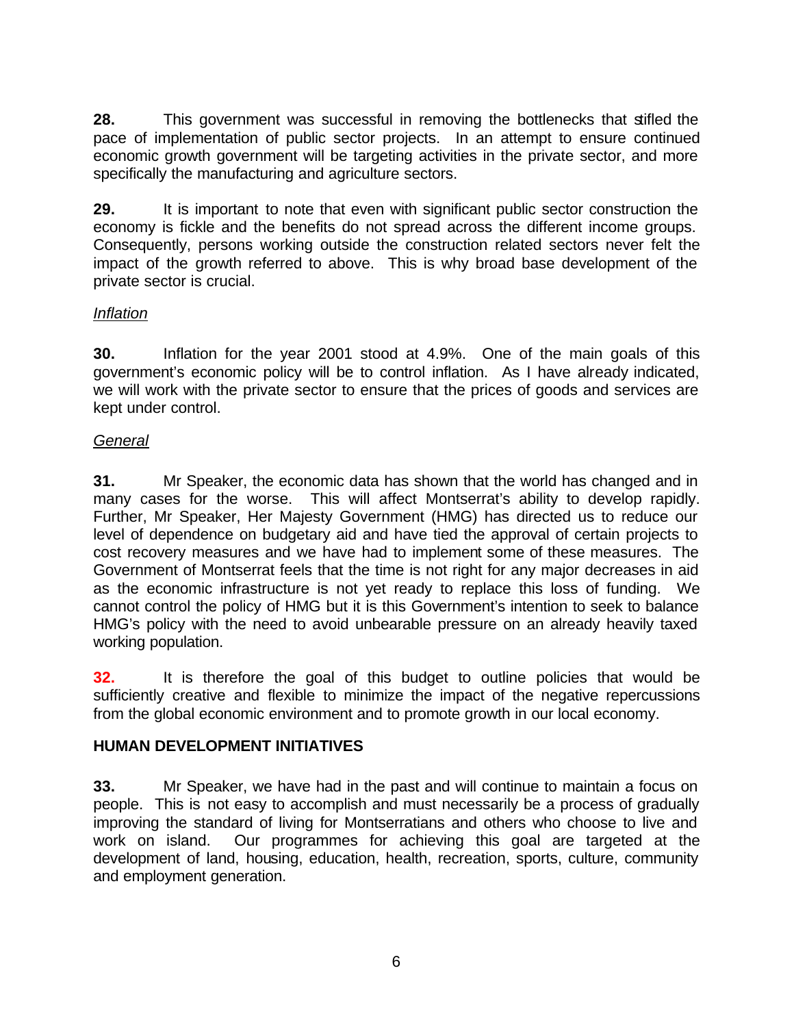**28.** This government was successful in removing the bottlenecks that stifled the pace of implementation of public sector projects. In an attempt to ensure continued economic growth government will be targeting activities in the private sector, and more specifically the manufacturing and agriculture sectors.

**29.** It is important to note that even with significant public sector construction the economy is fickle and the benefits do not spread across the different income groups. Consequently, persons working outside the construction related sectors never felt the impact of the growth referred to above. This is why broad base development of the private sector is crucial.

### *Inflation*

**30.** Inflation for the year 2001 stood at 4.9%. One of the main goals of this government's economic policy will be to control inflation. As I have already indicated, we will work with the private sector to ensure that the prices of goods and services are kept under control.

#### *General*

**31.** Mr Speaker, the economic data has shown that the world has changed and in many cases for the worse. This will affect Montserrat's ability to develop rapidly. Further, Mr Speaker, Her Majesty Government (HMG) has directed us to reduce our level of dependence on budgetary aid and have tied the approval of certain projects to cost recovery measures and we have had to implement some of these measures. The Government of Montserrat feels that the time is not right for any major decreases in aid as the economic infrastructure is not yet ready to replace this loss of funding. We cannot control the policy of HMG but it is this Government's intention to seek to balance HMG's policy with the need to avoid unbearable pressure on an already heavily taxed working population.

**32.** It is therefore the goal of this budget to outline policies that would be sufficiently creative and flexible to minimize the impact of the negative repercussions from the global economic environment and to promote growth in our local economy.

### **HUMAN DEVELOPMENT INITIATIVES**

**33.** Mr Speaker, we have had in the past and will continue to maintain a focus on people. This is not easy to accomplish and must necessarily be a process of gradually improving the standard of living for Montserratians and others who choose to live and work on island. Our programmes for achieving this goal are targeted at the development of land, housing, education, health, recreation, sports, culture, community and employment generation.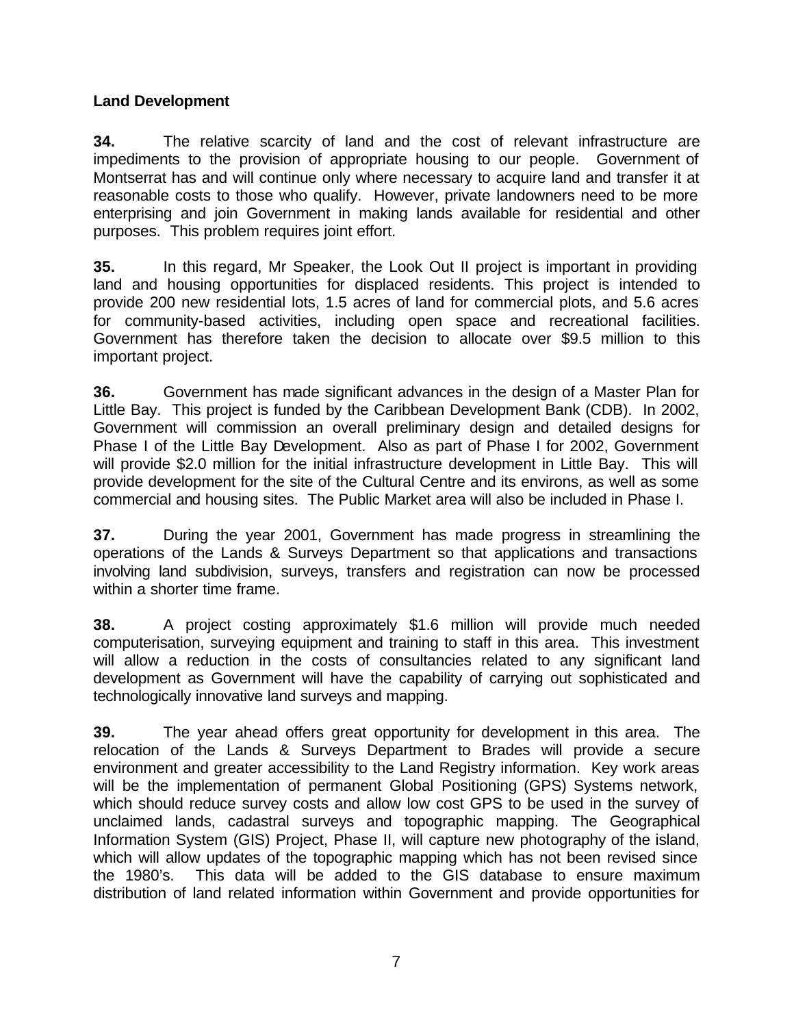### **Land Development**

**34.** The relative scarcity of land and the cost of relevant infrastructure are impediments to the provision of appropriate housing to our people. Government of Montserrat has and will continue only where necessary to acquire land and transfer it at reasonable costs to those who qualify. However, private landowners need to be more enterprising and join Government in making lands available for residential and other purposes. This problem requires joint effort.

**35.** In this regard, Mr Speaker, the Look Out II project is important in providing land and housing opportunities for displaced residents. This project is intended to provide 200 new residential lots, 1.5 acres of land for commercial plots, and 5.6 acres for community-based activities, including open space and recreational facilities. Government has therefore taken the decision to allocate over \$9.5 million to this important project.

**36.** Government has made significant advances in the design of a Master Plan for Little Bay. This project is funded by the Caribbean Development Bank (CDB). In 2002, Government will commission an overall preliminary design and detailed designs for Phase I of the Little Bay Development. Also as part of Phase I for 2002, Government will provide \$2.0 million for the initial infrastructure development in Little Bay. This will provide development for the site of the Cultural Centre and its environs, as well as some commercial and housing sites. The Public Market area will also be included in Phase I.

**37.** During the year 2001, Government has made progress in streamlining the operations of the Lands & Surveys Department so that applications and transactions involving land subdivision, surveys, transfers and registration can now be processed within a shorter time frame.

**38.** A project costing approximately \$1.6 million will provide much needed computerisation, surveying equipment and training to staff in this area. This investment will allow a reduction in the costs of consultancies related to any significant land development as Government will have the capability of carrying out sophisticated and technologically innovative land surveys and mapping.

**39.** The year ahead offers great opportunity for development in this area. The relocation of the Lands & Surveys Department to Brades will provide a secure environment and greater accessibility to the Land Registry information. Key work areas will be the implementation of permanent Global Positioning (GPS) Systems network, which should reduce survey costs and allow low cost GPS to be used in the survey of unclaimed lands, cadastral surveys and topographic mapping. The Geographical Information System (GIS) Project, Phase II, will capture new photography of the island, which will allow updates of the topographic mapping which has not been revised since the 1980's. This data will be added to the GIS database to ensure maximum distribution of land related information within Government and provide opportunities for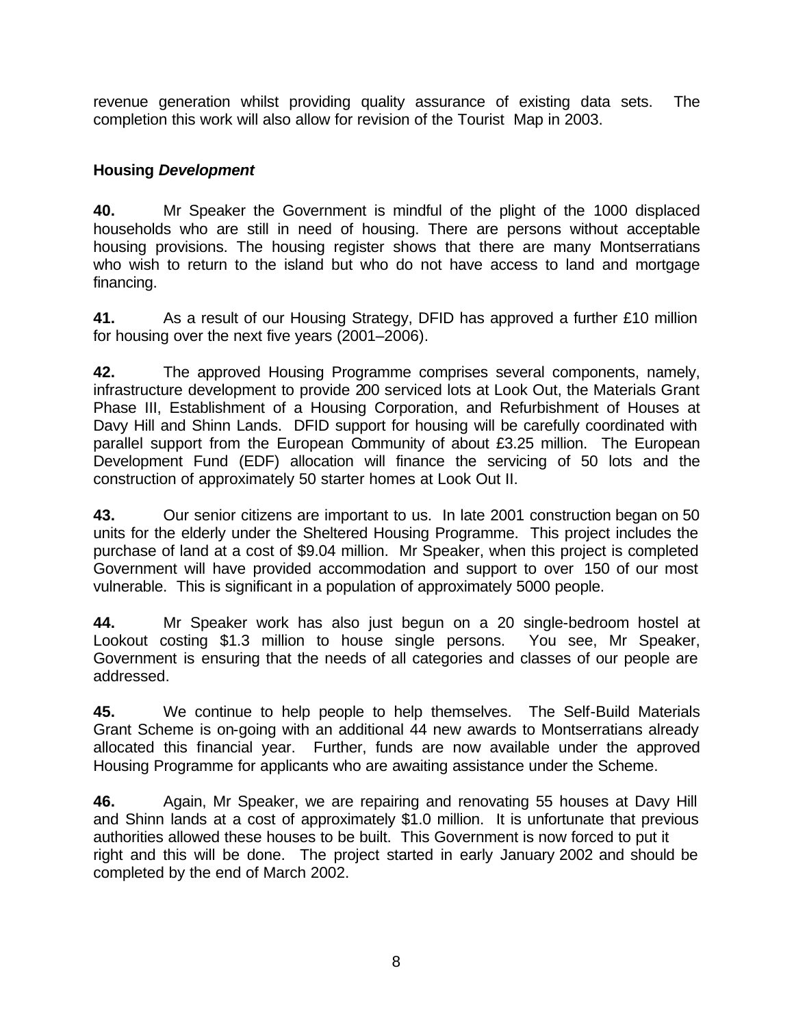revenue generation whilst providing quality assurance of existing data sets. The completion this work will also allow for revision of the Tourist Map in 2003.

## **Housing** *Development*

**40.** Mr Speaker the Government is mindful of the plight of the 1000 displaced households who are still in need of housing. There are persons without acceptable housing provisions. The housing register shows that there are many Montserratians who wish to return to the island but who do not have access to land and mortgage financing.

**41.** As a result of our Housing Strategy, DFID has approved a further £10 million for housing over the next five years (2001–2006).

**42.** The approved Housing Programme comprises several components, namely, infrastructure development to provide 200 serviced lots at Look Out, the Materials Grant Phase III, Establishment of a Housing Corporation, and Refurbishment of Houses at Davy Hill and Shinn Lands. DFID support for housing will be carefully coordinated with parallel support from the European Community of about £3.25 million. The European Development Fund (EDF) allocation will finance the servicing of 50 lots and the construction of approximately 50 starter homes at Look Out II.

**43.** Our senior citizens are important to us. In late 2001 construction began on 50 units for the elderly under the Sheltered Housing Programme. This project includes the purchase of land at a cost of \$9.04 million. Mr Speaker, when this project is completed Government will have provided accommodation and support to over 150 of our most vulnerable. This is significant in a population of approximately 5000 people.

**44.** Mr Speaker work has also just begun on a 20 single-bedroom hostel at Lookout costing \$1.3 million to house single persons. You see, Mr Speaker, Government is ensuring that the needs of all categories and classes of our people are addressed.

**45.** We continue to help people to help themselves. The Self-Build Materials Grant Scheme is on-going with an additional 44 new awards to Montserratians already allocated this financial year. Further, funds are now available under the approved Housing Programme for applicants who are awaiting assistance under the Scheme.

**46.** Again, Mr Speaker, we are repairing and renovating 55 houses at Davy Hill and Shinn lands at a cost of approximately \$1.0 million. It is unfortunate that previous authorities allowed these houses to be built. This Government is now forced to put it right and this will be done. The project started in early January 2002 and should be completed by the end of March 2002.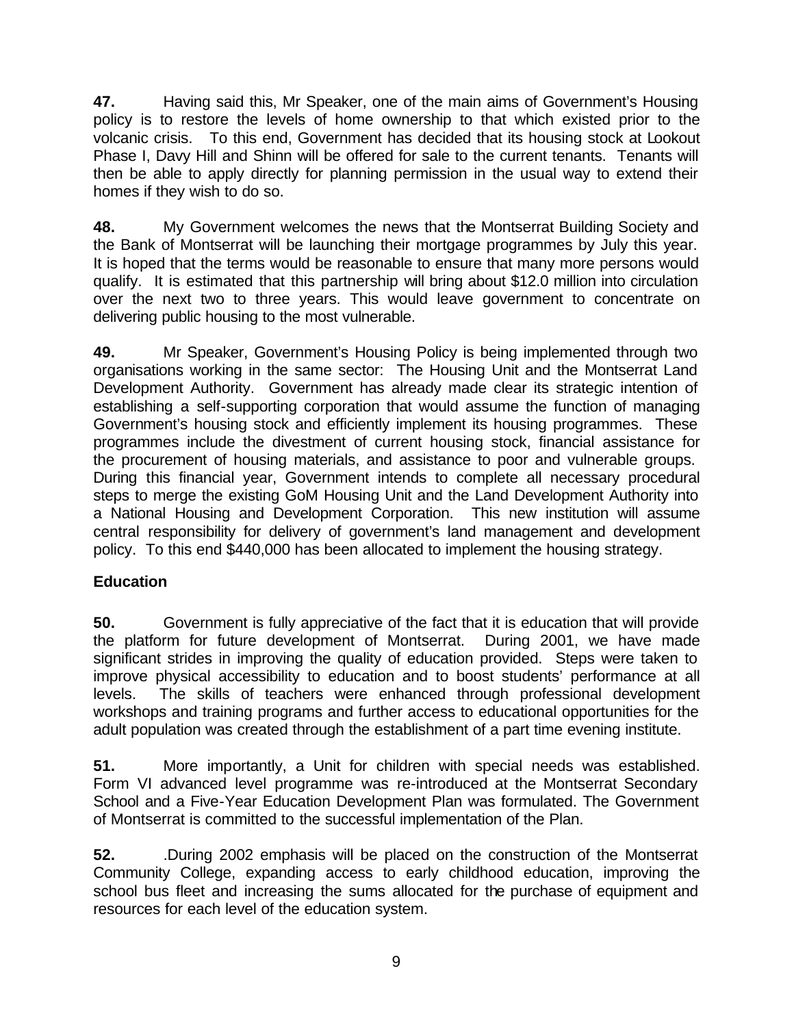**47.** Having said this, Mr Speaker, one of the main aims of Government's Housing policy is to restore the levels of home ownership to that which existed prior to the volcanic crisis. To this end, Government has decided that its housing stock at Lookout Phase I, Davy Hill and Shinn will be offered for sale to the current tenants. Tenants will then be able to apply directly for planning permission in the usual way to extend their homes if they wish to do so.

**48.** My Government welcomes the news that the Montserrat Building Society and the Bank of Montserrat will be launching their mortgage programmes by July this year. It is hoped that the terms would be reasonable to ensure that many more persons would qualify. It is estimated that this partnership will bring about \$12.0 million into circulation over the next two to three years. This would leave government to concentrate on delivering public housing to the most vulnerable.

**49.** Mr Speaker, Government's Housing Policy is being implemented through two organisations working in the same sector: The Housing Unit and the Montserrat Land Development Authority. Government has already made clear its strategic intention of establishing a self-supporting corporation that would assume the function of managing Government's housing stock and efficiently implement its housing programmes. These programmes include the divestment of current housing stock, financial assistance for the procurement of housing materials, and assistance to poor and vulnerable groups. During this financial year, Government intends to complete all necessary procedural steps to merge the existing GoM Housing Unit and the Land Development Authority into a National Housing and Development Corporation. This new institution will assume central responsibility for delivery of government's land management and development policy. To this end \$440,000 has been allocated to implement the housing strategy.

### **Education**

**50.** Government is fully appreciative of the fact that it is education that will provide the platform for future development of Montserrat. During 2001, we have made significant strides in improving the quality of education provided. Steps were taken to improve physical accessibility to education and to boost students' performance at all levels. The skills of teachers were enhanced through professional development workshops and training programs and further access to educational opportunities for the adult population was created through the establishment of a part time evening institute.

**51.** More importantly, a Unit for children with special needs was established. Form VI advanced level programme was re-introduced at the Montserrat Secondary School and a Five-Year Education Development Plan was formulated. The Government of Montserrat is committed to the successful implementation of the Plan.

**52.** .During 2002 emphasis will be placed on the construction of the Montserrat Community College, expanding access to early childhood education, improving the school bus fleet and increasing the sums allocated for the purchase of equipment and resources for each level of the education system.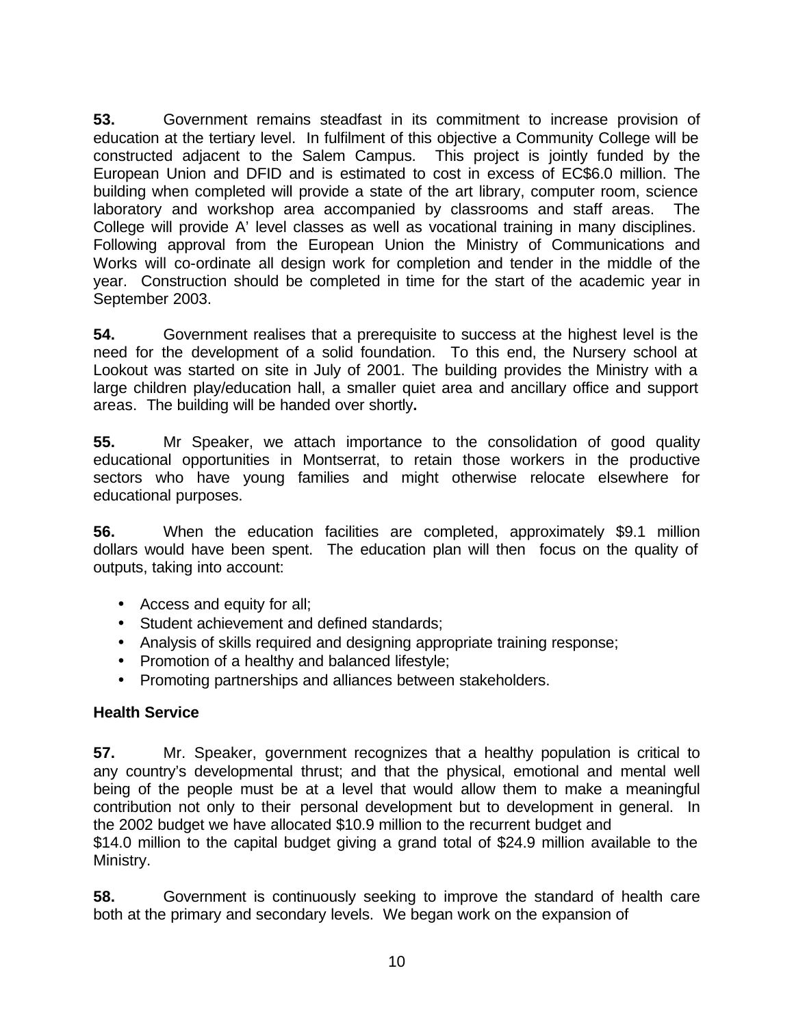**53.** Government remains steadfast in its commitment to increase provision of education at the tertiary level. In fulfilment of this objective a Community College will be constructed adjacent to the Salem Campus. This project is jointly funded by the European Union and DFID and is estimated to cost in excess of EC\$6.0 million. The building when completed will provide a state of the art library, computer room, science laboratory and workshop area accompanied by classrooms and staff areas. The College will provide A' level classes as well as vocational training in many disciplines. Following approval from the European Union the Ministry of Communications and Works will co-ordinate all design work for completion and tender in the middle of the year. Construction should be completed in time for the start of the academic year in September 2003.

**54.** Government realises that a prerequisite to success at the highest level is the need for the development of a solid foundation. To this end, the Nursery school at Lookout was started on site in July of 2001. The building provides the Ministry with a large children play/education hall, a smaller quiet area and ancillary office and support areas. The building will be handed over shortly**.** 

**55.** Mr Speaker, we attach importance to the consolidation of good quality educational opportunities in Montserrat, to retain those workers in the productive sectors who have young families and might otherwise relocate elsewhere for educational purposes.

**56.** When the education facilities are completed, approximately \$9.1 million dollars would have been spent. The education plan will then focus on the quality of outputs, taking into account:

- Access and equity for all;
- Student achievement and defined standards;
- Analysis of skills required and designing appropriate training response;
- Promotion of a healthy and balanced lifestyle;
- Promoting partnerships and alliances between stakeholders.

### **Health Service**

**57.** Mr. Speaker, government recognizes that a healthy population is critical to any country's developmental thrust; and that the physical, emotional and mental well being of the people must be at a level that would allow them to make a meaningful contribution not only to their personal development but to development in general. In the 2002 budget we have allocated \$10.9 million to the recurrent budget and \$14.0 million to the capital budget giving a grand total of \$24.9 million available to the Ministry.

**58.** Government is continuously seeking to improve the standard of health care both at the primary and secondary levels. We began work on the expansion of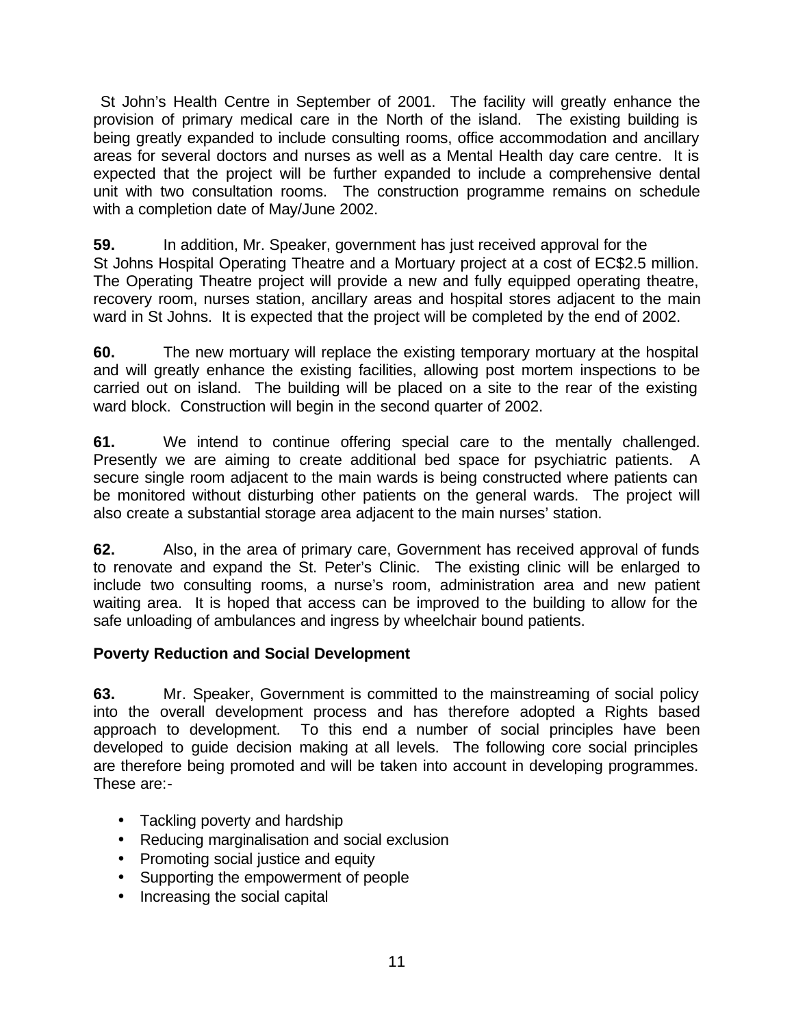St John's Health Centre in September of 2001. The facility will greatly enhance the provision of primary medical care in the North of the island. The existing building is being greatly expanded to include consulting rooms, office accommodation and ancillary areas for several doctors and nurses as well as a Mental Health day care centre. It is expected that the project will be further expanded to include a comprehensive dental unit with two consultation rooms. The construction programme remains on schedule with a completion date of May/June 2002.

**59.** In addition, Mr. Speaker, government has just received approval for the St Johns Hospital Operating Theatre and a Mortuary project at a cost of EC\$2.5 million. The Operating Theatre project will provide a new and fully equipped operating theatre, recovery room, nurses station, ancillary areas and hospital stores adjacent to the main ward in St Johns. It is expected that the project will be completed by the end of 2002.

**60.** The new mortuary will replace the existing temporary mortuary at the hospital and will greatly enhance the existing facilities, allowing post mortem inspections to be carried out on island. The building will be placed on a site to the rear of the existing ward block. Construction will begin in the second quarter of 2002.

**61.** We intend to continue offering special care to the mentally challenged. Presently we are aiming to create additional bed space for psychiatric patients. A secure single room adjacent to the main wards is being constructed where patients can be monitored without disturbing other patients on the general wards. The project will also create a substantial storage area adjacent to the main nurses' station.

**62.** Also, in the area of primary care, Government has received approval of funds to renovate and expand the St. Peter's Clinic. The existing clinic will be enlarged to include two consulting rooms, a nurse's room, administration area and new patient waiting area. It is hoped that access can be improved to the building to allow for the safe unloading of ambulances and ingress by wheelchair bound patients.

### **Poverty Reduction and Social Development**

**63.** Mr. Speaker, Government is committed to the mainstreaming of social policy into the overall development process and has therefore adopted a Rights based approach to development. To this end a number of social principles have been developed to guide decision making at all levels. The following core social principles are therefore being promoted and will be taken into account in developing programmes. These are:-

- Tackling poverty and hardship
- Reducing marginalisation and social exclusion
- Promoting social justice and equity
- Supporting the empowerment of people
- Increasing the social capital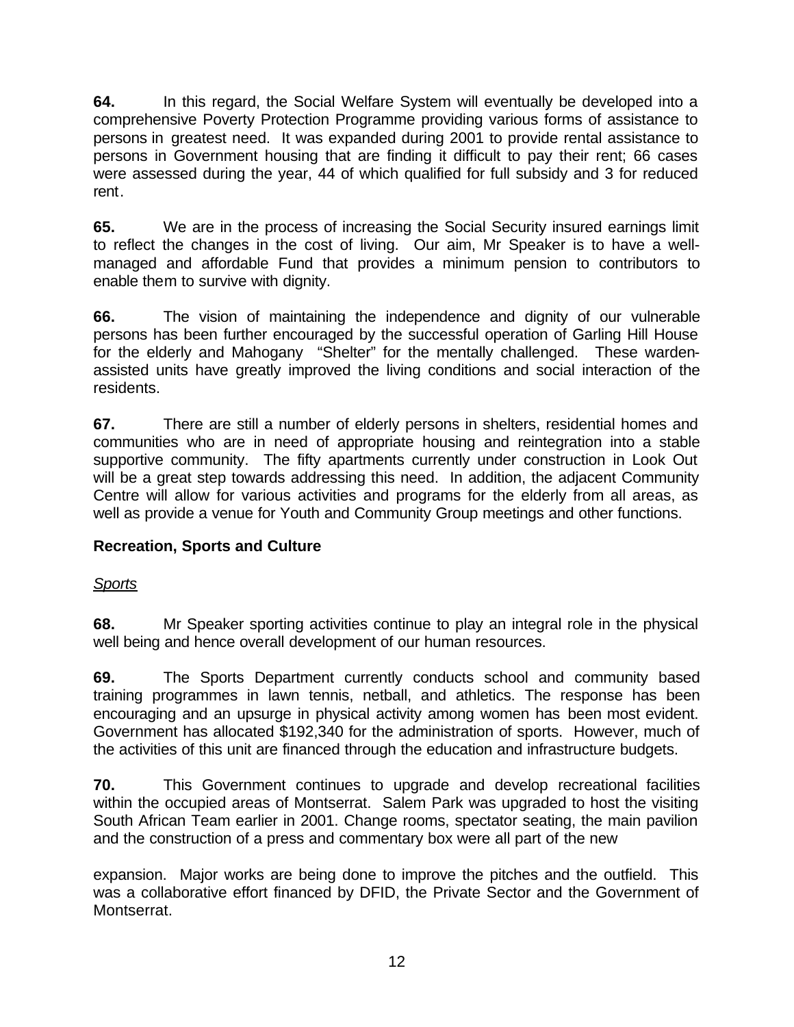**64.** In this regard, the Social Welfare System will eventually be developed into a comprehensive Poverty Protection Programme providing various forms of assistance to persons in greatest need. It was expanded during 2001 to provide rental assistance to persons in Government housing that are finding it difficult to pay their rent; 66 cases were assessed during the year, 44 of which qualified for full subsidy and 3 for reduced rent.

**65.** We are in the process of increasing the Social Security insured earnings limit to reflect the changes in the cost of living. Our aim, Mr Speaker is to have a wellmanaged and affordable Fund that provides a minimum pension to contributors to enable them to survive with dignity.

**66.** The vision of maintaining the independence and dignity of our vulnerable persons has been further encouraged by the successful operation of Garling Hill House for the elderly and Mahogany "Shelter" for the mentally challenged. These wardenassisted units have greatly improved the living conditions and social interaction of the residents.

**67.** There are still a number of elderly persons in shelters, residential homes and communities who are in need of appropriate housing and reintegration into a stable supportive community. The fifty apartments currently under construction in Look Out will be a great step towards addressing this need. In addition, the adjacent Community Centre will allow for various activities and programs for the elderly from all areas, as well as provide a venue for Youth and Community Group meetings and other functions.

## **Recreation, Sports and Culture**

### *Sports*

**68.** Mr Speaker sporting activities continue to play an integral role in the physical well being and hence overall development of our human resources.

**69.** The Sports Department currently conducts school and community based training programmes in lawn tennis, netball, and athletics. The response has been encouraging and an upsurge in physical activity among women has been most evident. Government has allocated \$192,340 for the administration of sports. However, much of the activities of this unit are financed through the education and infrastructure budgets.

**70.** This Government continues to upgrade and develop recreational facilities within the occupied areas of Montserrat. Salem Park was upgraded to host the visiting South African Team earlier in 2001. Change rooms, spectator seating, the main pavilion and the construction of a press and commentary box were all part of the new

expansion. Major works are being done to improve the pitches and the outfield. This was a collaborative effort financed by DFID, the Private Sector and the Government of Montserrat.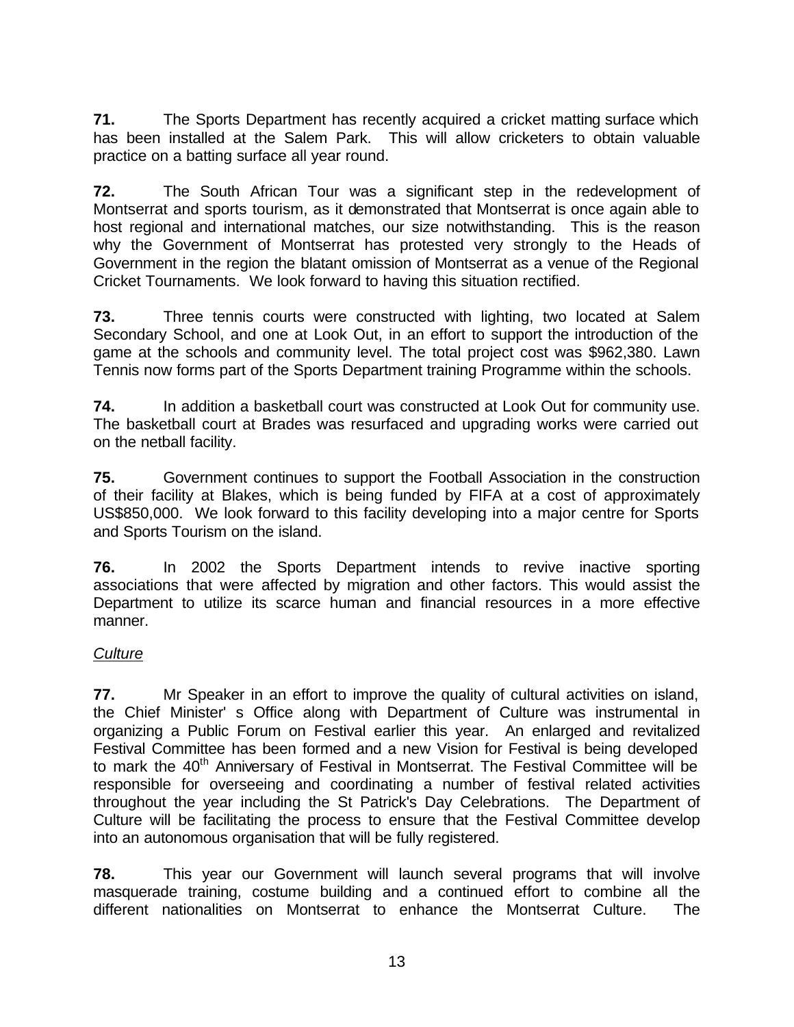**71.** The Sports Department has recently acquired a cricket matting surface which has been installed at the Salem Park. This will allow cricketers to obtain valuable practice on a batting surface all year round.

**72.** The South African Tour was a significant step in the redevelopment of Montserrat and sports tourism, as it demonstrated that Montserrat is once again able to host regional and international matches, our size notwithstanding. This is the reason why the Government of Montserrat has protested very strongly to the Heads of Government in the region the blatant omission of Montserrat as a venue of the Regional Cricket Tournaments. We look forward to having this situation rectified.

**73.** Three tennis courts were constructed with lighting, two located at Salem Secondary School, and one at Look Out, in an effort to support the introduction of the game at the schools and community level. The total project cost was \$962,380. Lawn Tennis now forms part of the Sports Department training Programme within the schools.

**74.** In addition a basketball court was constructed at Look Out for community use. The basketball court at Brades was resurfaced and upgrading works were carried out on the netball facility.

**75.** Government continues to support the Football Association in the construction of their facility at Blakes, which is being funded by FIFA at a cost of approximately US\$850,000. We look forward to this facility developing into a major centre for Sports and Sports Tourism on the island.

**76.** In 2002 the Sports Department intends to revive inactive sporting associations that were affected by migration and other factors. This would assist the Department to utilize its scarce human and financial resources in a more effective manner.

### *Culture*

**77.** Mr Speaker in an effort to improve the quality of cultural activities on island, the Chief Minister' s Office along with Department of Culture was instrumental in organizing a Public Forum on Festival earlier this year. An enlarged and revitalized Festival Committee has been formed and a new Vision for Festival is being developed to mark the 40<sup>th</sup> Anniversary of Festival in Montserrat. The Festival Committee will be responsible for overseeing and coordinating a number of festival related activities throughout the year including the St Patrick's Day Celebrations. The Department of Culture will be facilitating the process to ensure that the Festival Committee develop into an autonomous organisation that will be fully registered.

**78.** This year our Government will launch several programs that will involve masquerade training, costume building and a continued effort to combine all the different nationalities on Montserrat to enhance the Montserrat Culture. The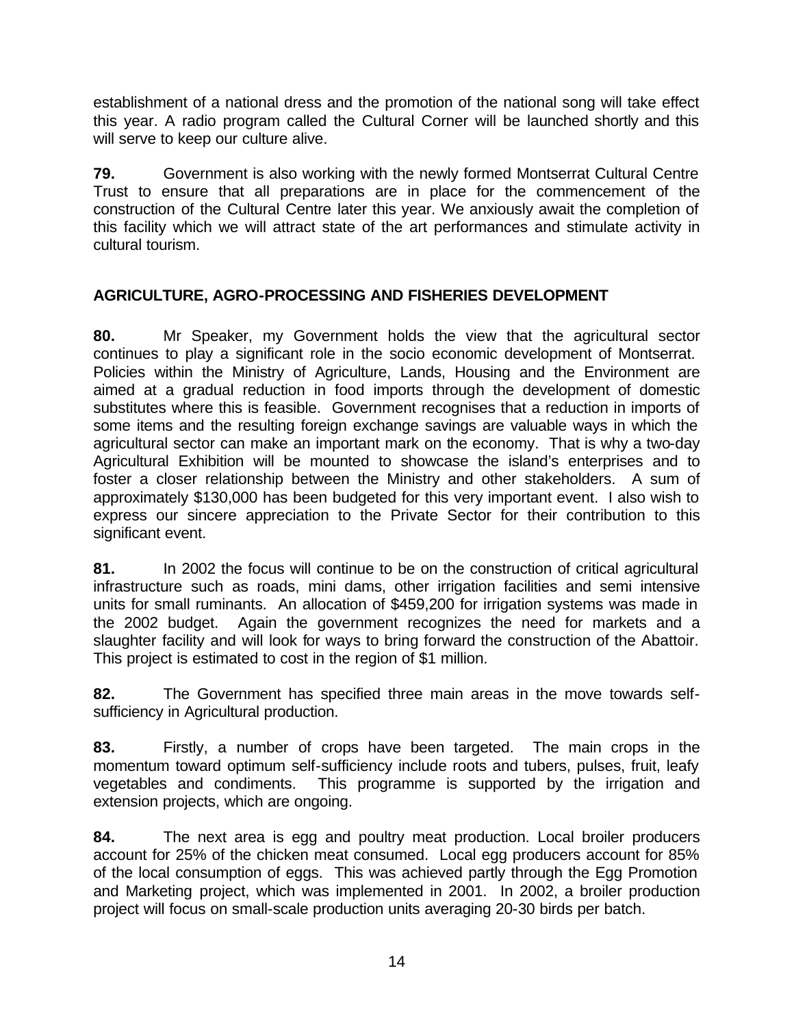establishment of a national dress and the promotion of the national song will take effect this year. A radio program called the Cultural Corner will be launched shortly and this will serve to keep our culture alive.

**79.** Government is also working with the newly formed Montserrat Cultural Centre Trust to ensure that all preparations are in place for the commencement of the construction of the Cultural Centre later this year. We anxiously await the completion of this facility which we will attract state of the art performances and stimulate activity in cultural tourism.

## **AGRICULTURE, AGRO-PROCESSING AND FISHERIES DEVELOPMENT**

**80.** Mr Speaker, my Government holds the view that the agricultural sector continues to play a significant role in the socio economic development of Montserrat. Policies within the Ministry of Agriculture, Lands, Housing and the Environment are aimed at a gradual reduction in food imports through the development of domestic substitutes where this is feasible. Government recognises that a reduction in imports of some items and the resulting foreign exchange savings are valuable ways in which the agricultural sector can make an important mark on the economy. That is why a two-day Agricultural Exhibition will be mounted to showcase the island's enterprises and to foster a closer relationship between the Ministry and other stakeholders. A sum of approximately \$130,000 has been budgeted for this very important event. I also wish to express our sincere appreciation to the Private Sector for their contribution to this significant event.

**81.** In 2002 the focus will continue to be on the construction of critical agricultural infrastructure such as roads, mini dams, other irrigation facilities and semi intensive units for small ruminants. An allocation of \$459,200 for irrigation systems was made in the 2002 budget. Again the government recognizes the need for markets and a slaughter facility and will look for ways to bring forward the construction of the Abattoir. This project is estimated to cost in the region of \$1 million.

**82.** The Government has specified three main areas in the move towards selfsufficiency in Agricultural production.

**83.** Firstly, a number of crops have been targeted. The main crops in the momentum toward optimum self-sufficiency include roots and tubers, pulses, fruit, leafy vegetables and condiments. This programme is supported by the irrigation and extension projects, which are ongoing.

**84.** The next area is egg and poultry meat production. Local broiler producers account for 25% of the chicken meat consumed. Local egg producers account for 85% of the local consumption of eggs. This was achieved partly through the Egg Promotion and Marketing project, which was implemented in 2001. In 2002, a broiler production project will focus on small-scale production units averaging 20-30 birds per batch.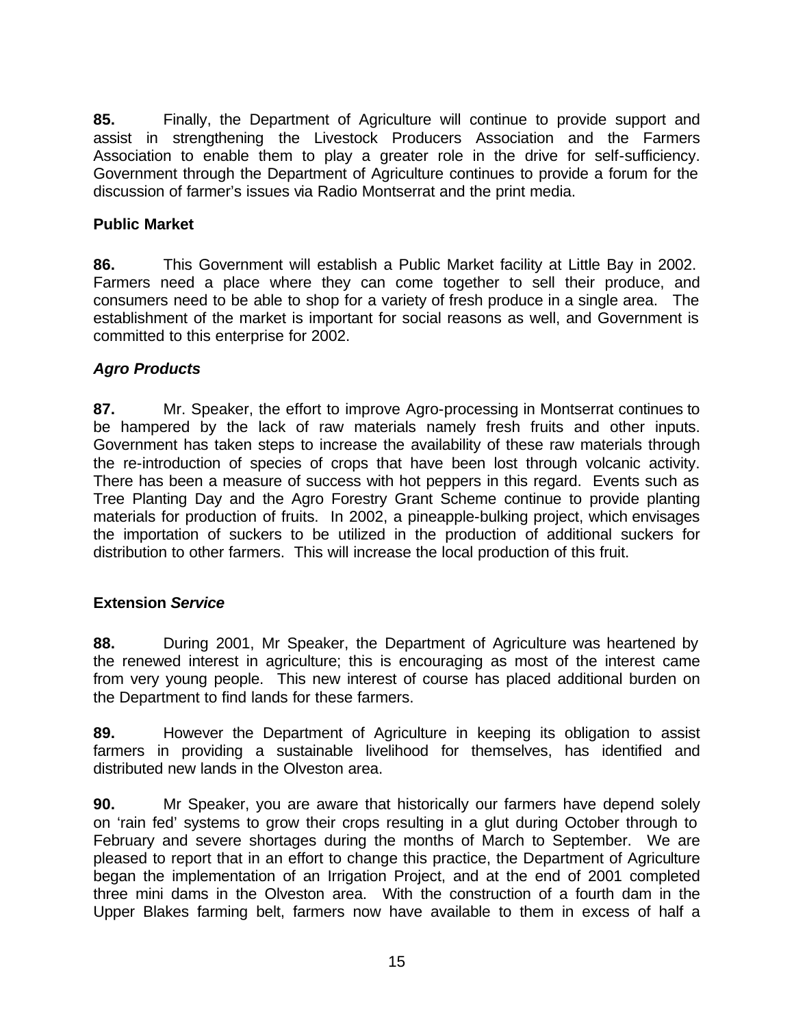**85.** Finally, the Department of Agriculture will continue to provide support and assist in strengthening the Livestock Producers Association and the Farmers Association to enable them to play a greater role in the drive for self-sufficiency. Government through the Department of Agriculture continues to provide a forum for the discussion of farmer's issues via Radio Montserrat and the print media.

### **Public Market**

**86.** This Government will establish a Public Market facility at Little Bay in 2002. Farmers need a place where they can come together to sell their produce, and consumers need to be able to shop for a variety of fresh produce in a single area. The establishment of the market is important for social reasons as well, and Government is committed to this enterprise for 2002.

### *Agro Products*

**87.** Mr. Speaker, the effort to improve Agro-processing in Montserrat continues to be hampered by the lack of raw materials namely fresh fruits and other inputs. Government has taken steps to increase the availability of these raw materials through the re-introduction of species of crops that have been lost through volcanic activity. There has been a measure of success with hot peppers in this regard. Events such as Tree Planting Day and the Agro Forestry Grant Scheme continue to provide planting materials for production of fruits. In 2002, a pineapple-bulking project, which envisages the importation of suckers to be utilized in the production of additional suckers for distribution to other farmers. This will increase the local production of this fruit.

#### **Extension** *Service*

**88.** During 2001, Mr Speaker, the Department of Agriculture was heartened by the renewed interest in agriculture; this is encouraging as most of the interest came from very young people. This new interest of course has placed additional burden on the Department to find lands for these farmers.

**89.** However the Department of Agriculture in keeping its obligation to assist farmers in providing a sustainable livelihood for themselves, has identified and distributed new lands in the Olveston area.

**90.** Mr Speaker, you are aware that historically our farmers have depend solely on 'rain fed' systems to grow their crops resulting in a glut during October through to February and severe shortages during the months of March to September. We are pleased to report that in an effort to change this practice, the Department of Agriculture began the implementation of an Irrigation Project, and at the end of 2001 completed three mini dams in the Olveston area. With the construction of a fourth dam in the Upper Blakes farming belt, farmers now have available to them in excess of half a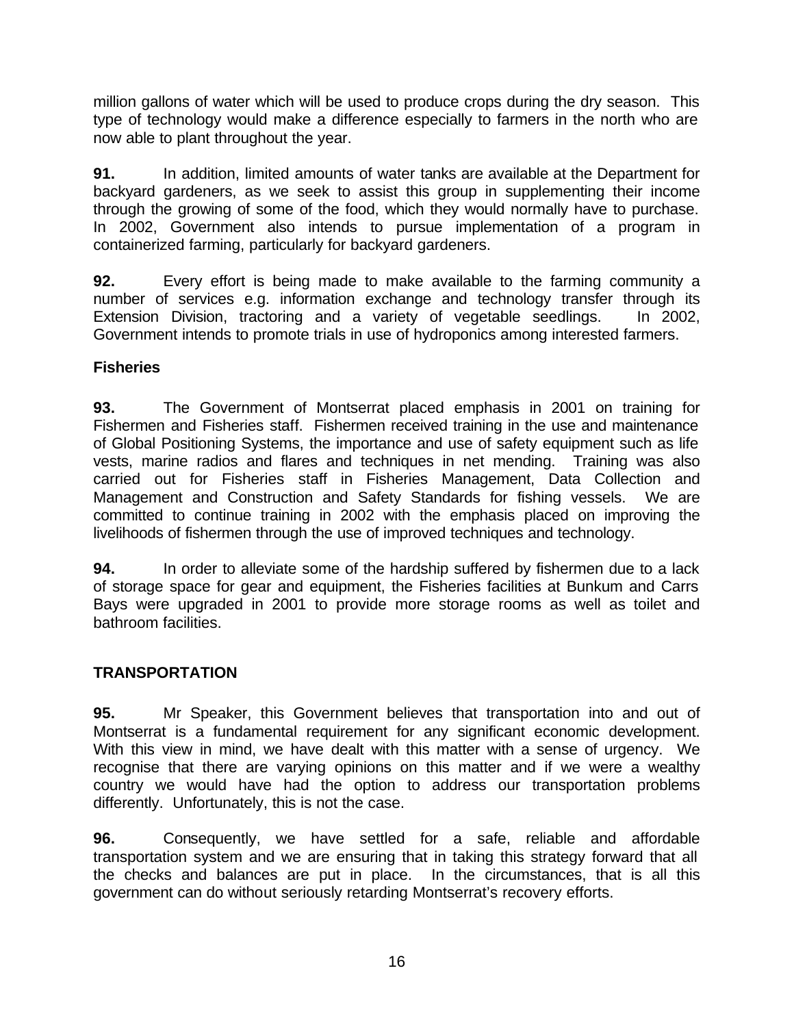million gallons of water which will be used to produce crops during the dry season. This type of technology would make a difference especially to farmers in the north who are now able to plant throughout the year.

**91.** In addition, limited amounts of water tanks are available at the Department for backyard gardeners, as we seek to assist this group in supplementing their income through the growing of some of the food, which they would normally have to purchase. In 2002, Government also intends to pursue implementation of a program in containerized farming, particularly for backyard gardeners.

**92.** Every effort is being made to make available to the farming community a number of services e.g. information exchange and technology transfer through its Extension Division, tractoring and a variety of vegetable seedlings. In 2002, Government intends to promote trials in use of hydroponics among interested farmers.

### **Fisheries**

**93.** The Government of Montserrat placed emphasis in 2001 on training for Fishermen and Fisheries staff. Fishermen received training in the use and maintenance of Global Positioning Systems, the importance and use of safety equipment such as life vests, marine radios and flares and techniques in net mending. Training was also carried out for Fisheries staff in Fisheries Management, Data Collection and Management and Construction and Safety Standards for fishing vessels. We are committed to continue training in 2002 with the emphasis placed on improving the livelihoods of fishermen through the use of improved techniques and technology.

**94.** In order to alleviate some of the hardship suffered by fishermen due to a lack of storage space for gear and equipment, the Fisheries facilities at Bunkum and Carrs Bays were upgraded in 2001 to provide more storage rooms as well as toilet and bathroom facilities.

### **TRANSPORTATION**

**95.** Mr Speaker, this Government believes that transportation into and out of Montserrat is a fundamental requirement for any significant economic development. With this view in mind, we have dealt with this matter with a sense of urgency. We recognise that there are varying opinions on this matter and if we were a wealthy country we would have had the option to address our transportation problems differently. Unfortunately, this is not the case.

**96.** Consequently, we have settled for a safe, reliable and affordable transportation system and we are ensuring that in taking this strategy forward that all the checks and balances are put in place. In the circumstances, that is all this government can do without seriously retarding Montserrat's recovery efforts.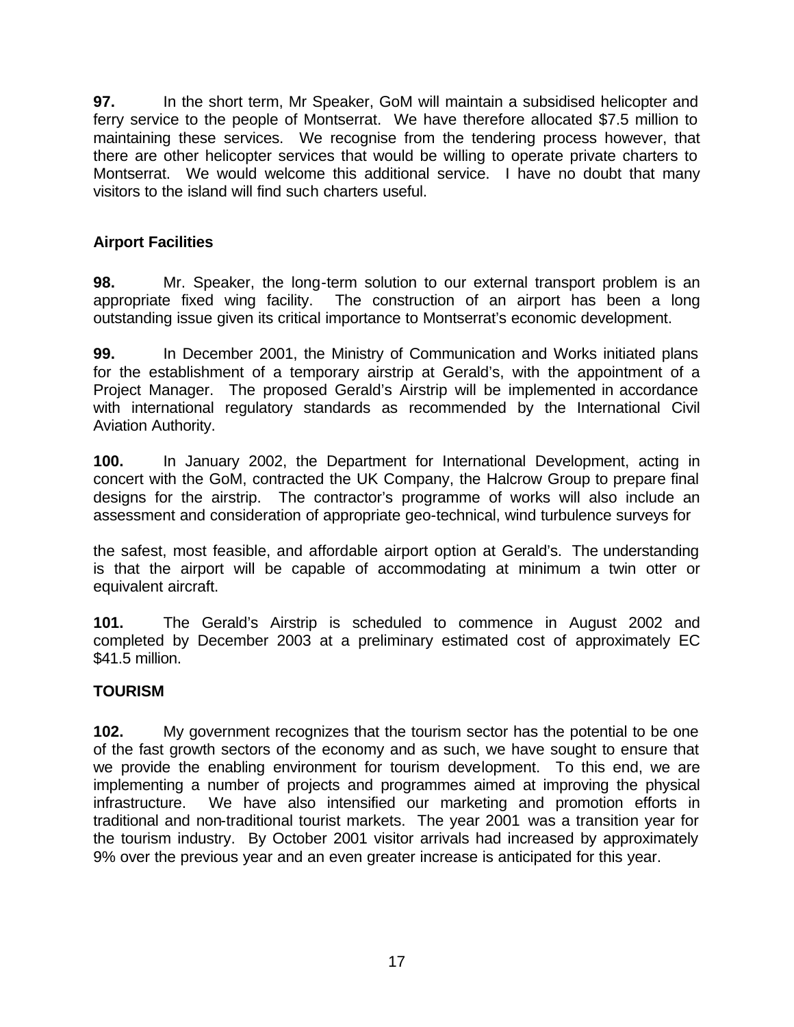**97.** In the short term, Mr Speaker, GoM will maintain a subsidised helicopter and ferry service to the people of Montserrat. We have therefore allocated \$7.5 million to maintaining these services. We recognise from the tendering process however, that there are other helicopter services that would be willing to operate private charters to Montserrat. We would welcome this additional service. I have no doubt that many visitors to the island will find such charters useful.

## **Airport Facilities**

**98.** Mr. Speaker, the long-term solution to our external transport problem is an appropriate fixed wing facility. The construction of an airport has been a long outstanding issue given its critical importance to Montserrat's economic development.

**99.** In December 2001, the Ministry of Communication and Works initiated plans for the establishment of a temporary airstrip at Gerald's, with the appointment of a Project Manager. The proposed Gerald's Airstrip will be implemented in accordance with international regulatory standards as recommended by the International Civil Aviation Authority.

**100.** In January 2002, the Department for International Development, acting in concert with the GoM, contracted the UK Company, the Halcrow Group to prepare final designs for the airstrip. The contractor's programme of works will also include an assessment and consideration of appropriate geo-technical, wind turbulence surveys for

the safest, most feasible, and affordable airport option at Gerald's. The understanding is that the airport will be capable of accommodating at minimum a twin otter or equivalent aircraft.

**101.** The Gerald's Airstrip is scheduled to commence in August 2002 and completed by December 2003 at a preliminary estimated cost of approximately EC \$41.5 million.

### **TOURISM**

**102.** My government recognizes that the tourism sector has the potential to be one of the fast growth sectors of the economy and as such, we have sought to ensure that we provide the enabling environment for tourism development. To this end, we are implementing a number of projects and programmes aimed at improving the physical infrastructure. We have also intensified our marketing and promotion efforts in traditional and non-traditional tourist markets. The year 2001 was a transition year for the tourism industry. By October 2001 visitor arrivals had increased by approximately 9% over the previous year and an even greater increase is anticipated for this year.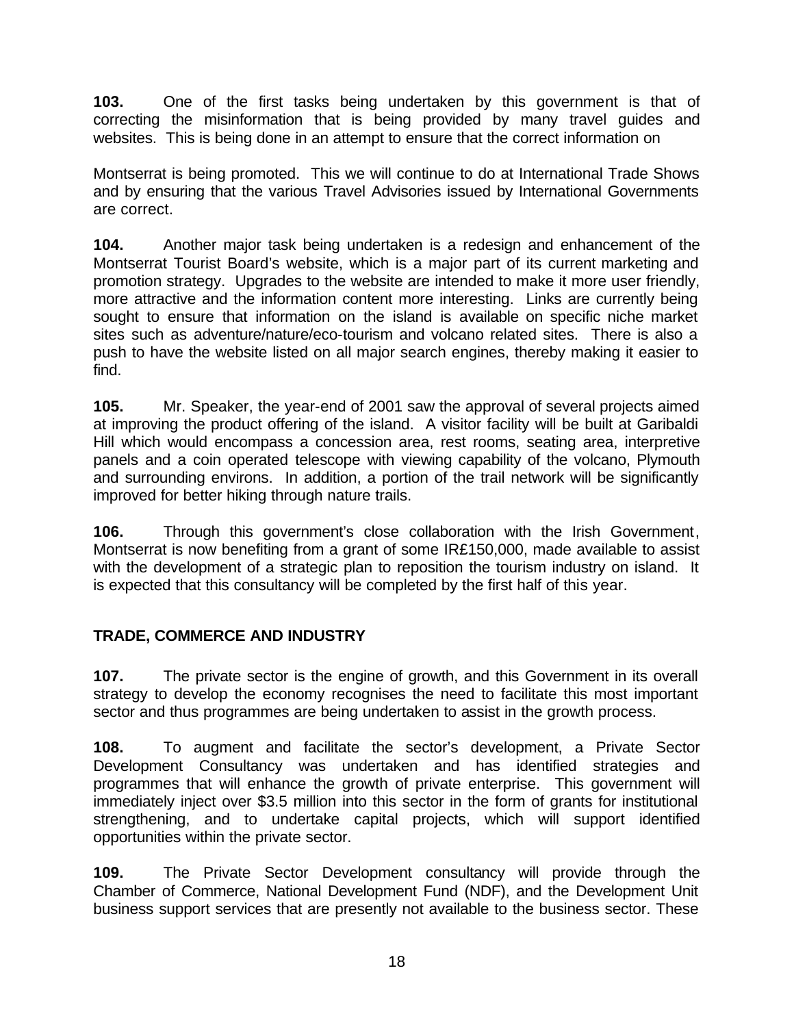**103.** One of the first tasks being undertaken by this government is that of correcting the misinformation that is being provided by many travel guides and websites. This is being done in an attempt to ensure that the correct information on

Montserrat is being promoted. This we will continue to do at International Trade Shows and by ensuring that the various Travel Advisories issued by International Governments are correct.

**104.** Another major task being undertaken is a redesign and enhancement of the Montserrat Tourist Board's website, which is a major part of its current marketing and promotion strategy. Upgrades to the website are intended to make it more user friendly, more attractive and the information content more interesting. Links are currently being sought to ensure that information on the island is available on specific niche market sites such as adventure/nature/eco-tourism and volcano related sites. There is also a push to have the website listed on all major search engines, thereby making it easier to find.

**105.** Mr. Speaker, the year-end of 2001 saw the approval of several projects aimed at improving the product offering of the island. A visitor facility will be built at Garibaldi Hill which would encompass a concession area, rest rooms, seating area, interpretive panels and a coin operated telescope with viewing capability of the volcano, Plymouth and surrounding environs. In addition, a portion of the trail network will be significantly improved for better hiking through nature trails.

**106.** Through this government's close collaboration with the Irish Government, Montserrat is now benefiting from a grant of some IR£150,000, made available to assist with the development of a strategic plan to reposition the tourism industry on island. It is expected that this consultancy will be completed by the first half of this year.

## **TRADE, COMMERCE AND INDUSTRY**

**107.** The private sector is the engine of growth, and this Government in its overall strategy to develop the economy recognises the need to facilitate this most important sector and thus programmes are being undertaken to assist in the growth process.

**108.** To augment and facilitate the sector's development, a Private Sector Development Consultancy was undertaken and has identified strategies and programmes that will enhance the growth of private enterprise. This government will immediately inject over \$3.5 million into this sector in the form of grants for institutional strengthening, and to undertake capital projects, which will support identified opportunities within the private sector.

**109.** The Private Sector Development consultancy will provide through the Chamber of Commerce, National Development Fund (NDF), and the Development Unit business support services that are presently not available to the business sector. These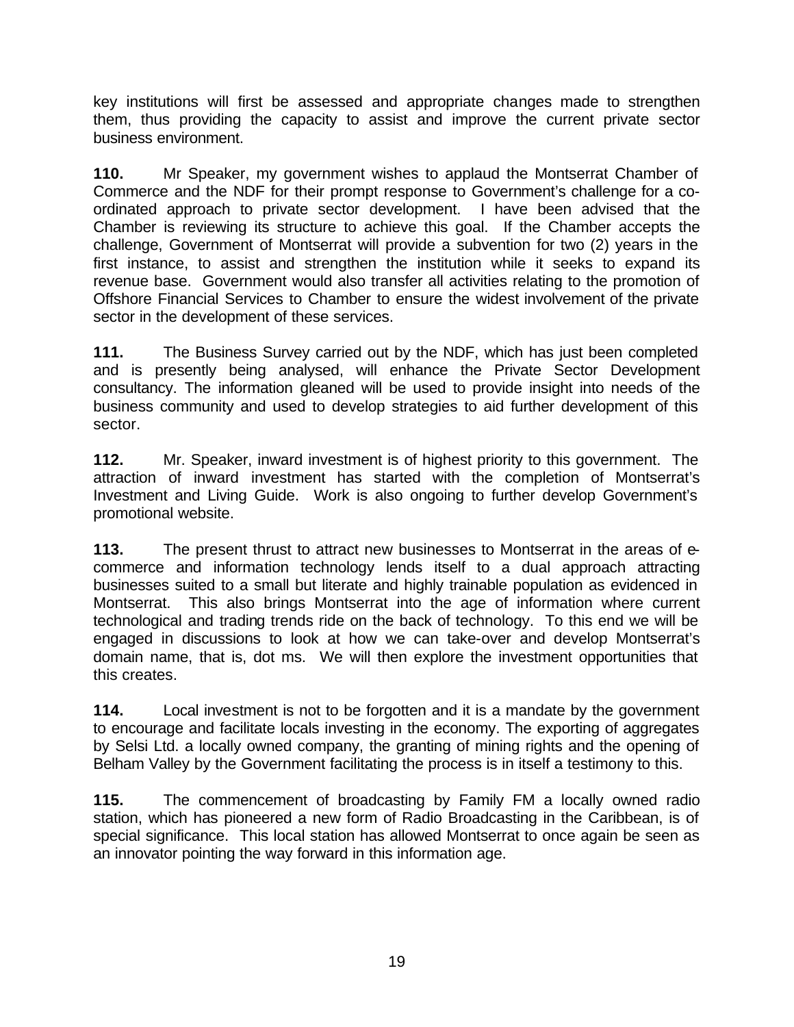key institutions will first be assessed and appropriate changes made to strengthen them, thus providing the capacity to assist and improve the current private sector business environment.

**110.** Mr Speaker, my government wishes to applaud the Montserrat Chamber of Commerce and the NDF for their prompt response to Government's challenge for a coordinated approach to private sector development. I have been advised that the Chamber is reviewing its structure to achieve this goal. If the Chamber accepts the challenge, Government of Montserrat will provide a subvention for two (2) years in the first instance, to assist and strengthen the institution while it seeks to expand its revenue base. Government would also transfer all activities relating to the promotion of Offshore Financial Services to Chamber to ensure the widest involvement of the private sector in the development of these services.

**111.** The Business Survey carried out by the NDF, which has just been completed and is presently being analysed, will enhance the Private Sector Development consultancy. The information gleaned will be used to provide insight into needs of the business community and used to develop strategies to aid further development of this sector.

**112.** Mr. Speaker, inward investment is of highest priority to this government. The attraction of inward investment has started with the completion of Montserrat's Investment and Living Guide. Work is also ongoing to further develop Government's promotional website.

**113.** The present thrust to attract new businesses to Montserrat in the areas of ecommerce and information technology lends itself to a dual approach attracting businesses suited to a small but literate and highly trainable population as evidenced in Montserrat. This also brings Montserrat into the age of information where current technological and trading trends ride on the back of technology. To this end we will be engaged in discussions to look at how we can take-over and develop Montserrat's domain name, that is, dot ms. We will then explore the investment opportunities that this creates.

**114.** Local investment is not to be forgotten and it is a mandate by the government to encourage and facilitate locals investing in the economy. The exporting of aggregates by Selsi Ltd. a locally owned company, the granting of mining rights and the opening of Belham Valley by the Government facilitating the process is in itself a testimony to this.

**115.** The commencement of broadcasting by Family FM a locally owned radio station, which has pioneered a new form of Radio Broadcasting in the Caribbean, is of special significance. This local station has allowed Montserrat to once again be seen as an innovator pointing the way forward in this information age.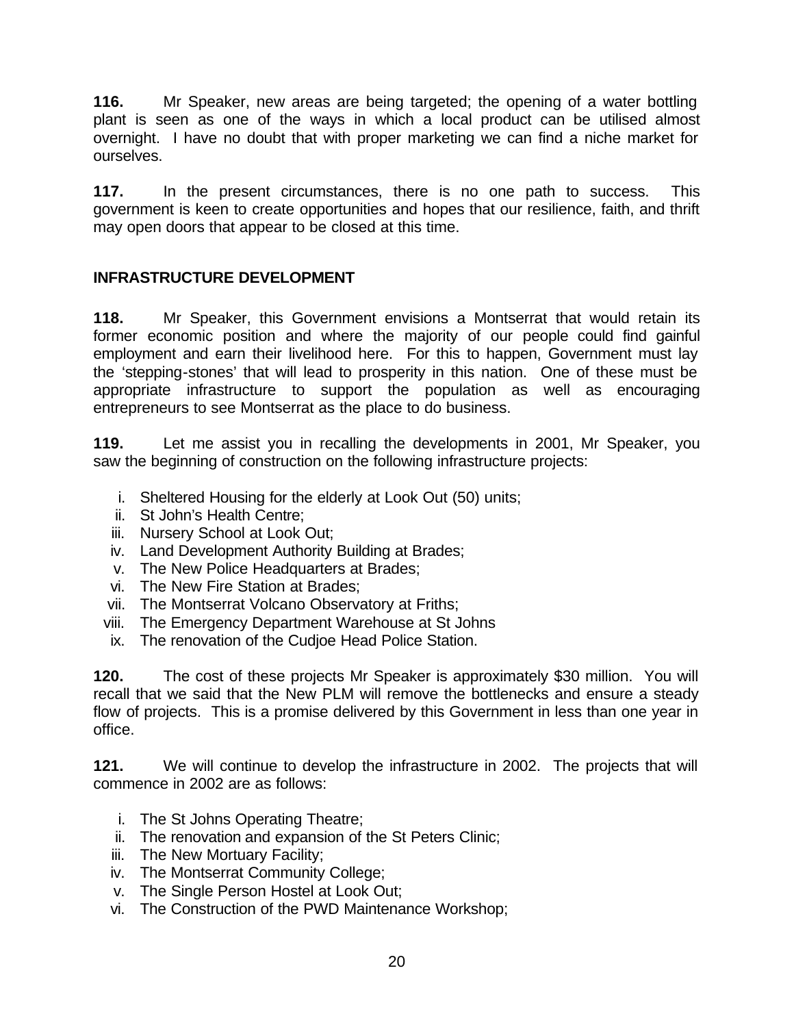**116.** Mr Speaker, new areas are being targeted; the opening of a water bottling plant is seen as one of the ways in which a local product can be utilised almost overnight. I have no doubt that with proper marketing we can find a niche market for ourselves.

**117.** In the present circumstances, there is no one path to success. This government is keen to create opportunities and hopes that our resilience, faith, and thrift may open doors that appear to be closed at this time.

### **INFRASTRUCTURE DEVELOPMENT**

**118.** Mr Speaker, this Government envisions a Montserrat that would retain its former economic position and where the majority of our people could find gainful employment and earn their livelihood here. For this to happen, Government must lay the 'stepping-stones' that will lead to prosperity in this nation. One of these must be appropriate infrastructure to support the population as well as encouraging entrepreneurs to see Montserrat as the place to do business.

**119.** Let me assist you in recalling the developments in 2001, Mr Speaker, you saw the beginning of construction on the following infrastructure projects:

- i. Sheltered Housing for the elderly at Look Out (50) units;
- ii. St John's Health Centre;
- iii. Nursery School at Look Out;
- iv. Land Development Authority Building at Brades;
- v. The New Police Headquarters at Brades;
- vi. The New Fire Station at Brades;
- vii. The Montserrat Volcano Observatory at Friths;
- viii. The Emergency Department Warehouse at St Johns
- ix. The renovation of the Cudjoe Head Police Station.

**120.** The cost of these projects Mr Speaker is approximately \$30 million. You will recall that we said that the New PLM will remove the bottlenecks and ensure a steady flow of projects. This is a promise delivered by this Government in less than one year in office.

**121.** We will continue to develop the infrastructure in 2002. The projects that will commence in 2002 are as follows:

- i. The St Johns Operating Theatre;
- ii. The renovation and expansion of the St Peters Clinic;
- iii. The New Mortuary Facility;
- iv. The Montserrat Community College;
- v. The Single Person Hostel at Look Out;
- vi. The Construction of the PWD Maintenance Workshop;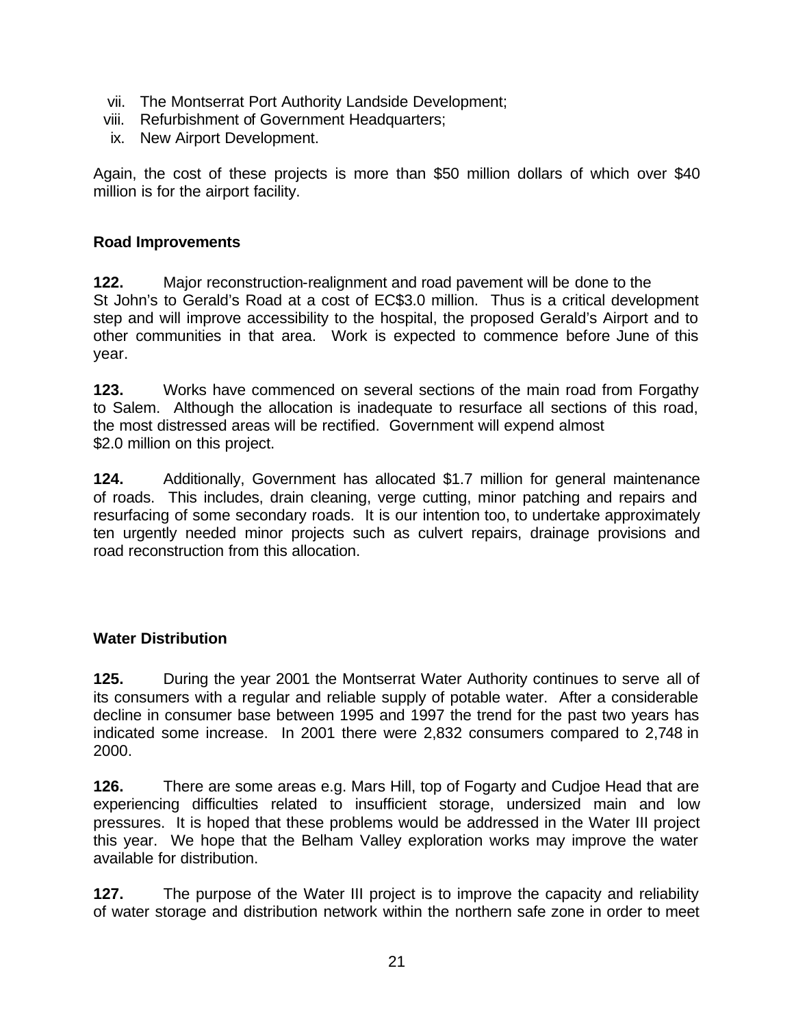- vii. The Montserrat Port Authority Landside Development;
- viii. Refurbishment of Government Headquarters;
- ix. New Airport Development.

Again, the cost of these projects is more than \$50 million dollars of which over \$40 million is for the airport facility.

#### **Road Improvements**

**122.** Major reconstruction-realignment and road pavement will be done to the St John's to Gerald's Road at a cost of EC\$3.0 million. Thus is a critical development step and will improve accessibility to the hospital, the proposed Gerald's Airport and to other communities in that area. Work is expected to commence before June of this year.

**123.** Works have commenced on several sections of the main road from Forgathy to Salem. Although the allocation is inadequate to resurface all sections of this road, the most distressed areas will be rectified. Government will expend almost \$2.0 million on this project.

**124.** Additionally, Government has allocated \$1.7 million for general maintenance of roads. This includes, drain cleaning, verge cutting, minor patching and repairs and resurfacing of some secondary roads. It is our intention too, to undertake approximately ten urgently needed minor projects such as culvert repairs, drainage provisions and road reconstruction from this allocation.

### **Water Distribution**

**125.** During the year 2001 the Montserrat Water Authority continues to serve all of its consumers with a regular and reliable supply of potable water. After a considerable decline in consumer base between 1995 and 1997 the trend for the past two years has indicated some increase. In 2001 there were 2,832 consumers compared to 2,748 in 2000.

**126.** There are some areas e.g. Mars Hill, top of Fogarty and Cudjoe Head that are experiencing difficulties related to insufficient storage, undersized main and low pressures. It is hoped that these problems would be addressed in the Water III project this year. We hope that the Belham Valley exploration works may improve the water available for distribution.

**127.** The purpose of the Water III project is to improve the capacity and reliability of water storage and distribution network within the northern safe zone in order to meet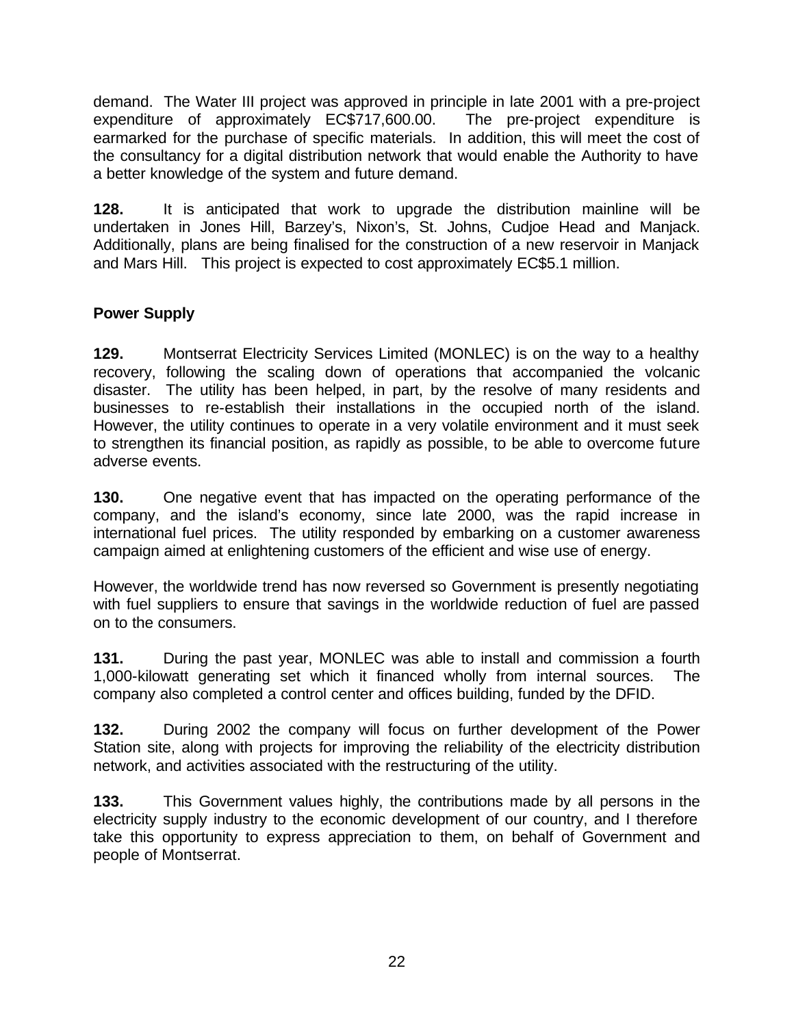demand. The Water III project was approved in principle in late 2001 with a pre-project expenditure of approximately EC\$717,600.00. The pre-project expenditure is earmarked for the purchase of specific materials. In addition, this will meet the cost of the consultancy for a digital distribution network that would enable the Authority to have a better knowledge of the system and future demand.

**128.** It is anticipated that work to upgrade the distribution mainline will be undertaken in Jones Hill, Barzey's, Nixon's, St. Johns, Cudjoe Head and Manjack. Additionally, plans are being finalised for the construction of a new reservoir in Manjack and Mars Hill. This project is expected to cost approximately EC\$5.1 million.

## **Power Supply**

**129.** Montserrat Electricity Services Limited (MONLEC) is on the way to a healthy recovery, following the scaling down of operations that accompanied the volcanic disaster. The utility has been helped, in part, by the resolve of many residents and businesses to re-establish their installations in the occupied north of the island. However, the utility continues to operate in a very volatile environment and it must seek to strengthen its financial position, as rapidly as possible, to be able to overcome future adverse events.

**130.** One negative event that has impacted on the operating performance of the company, and the island's economy, since late 2000, was the rapid increase in international fuel prices. The utility responded by embarking on a customer awareness campaign aimed at enlightening customers of the efficient and wise use of energy.

However, the worldwide trend has now reversed so Government is presently negotiating with fuel suppliers to ensure that savings in the worldwide reduction of fuel are passed on to the consumers.

**131.** During the past year, MONLEC was able to install and commission a fourth 1,000-kilowatt generating set which it financed wholly from internal sources. The company also completed a control center and offices building, funded by the DFID.

**132.** During 2002 the company will focus on further development of the Power Station site, along with projects for improving the reliability of the electricity distribution network, and activities associated with the restructuring of the utility.

**133.** This Government values highly, the contributions made by all persons in the electricity supply industry to the economic development of our country, and I therefore take this opportunity to express appreciation to them, on behalf of Government and people of Montserrat.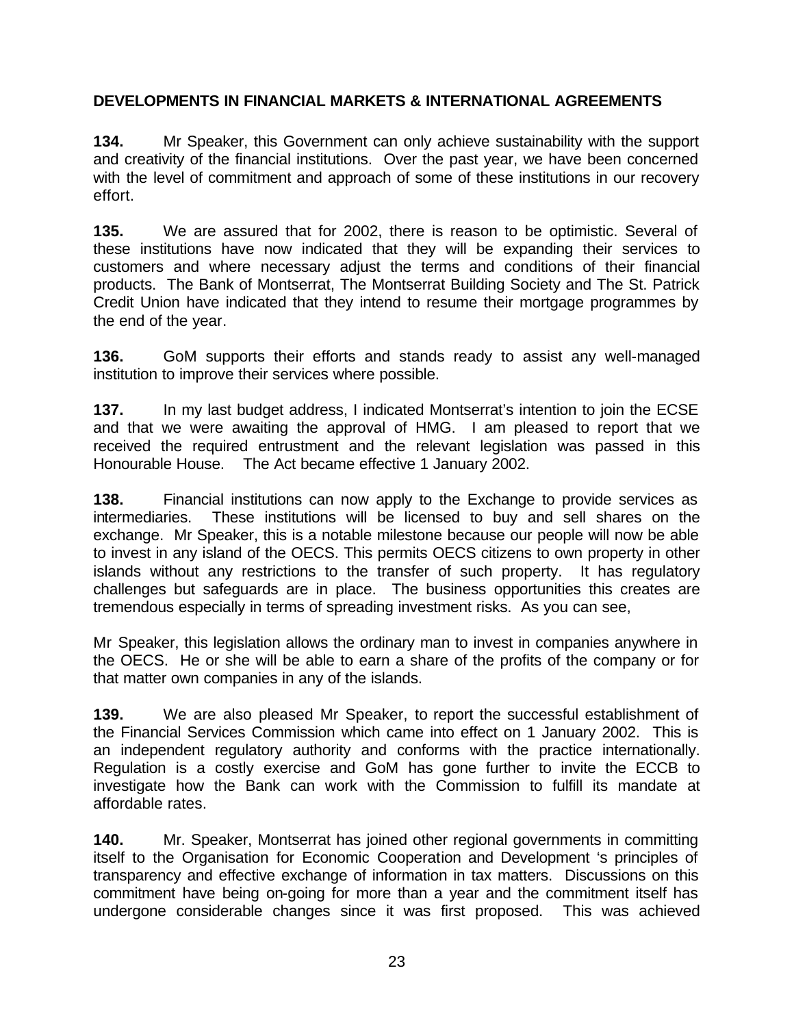### **DEVELOPMENTS IN FINANCIAL MARKETS & INTERNATIONAL AGREEMENTS**

**134.** Mr Speaker, this Government can only achieve sustainability with the support and creativity of the financial institutions. Over the past year, we have been concerned with the level of commitment and approach of some of these institutions in our recovery effort.

**135.** We are assured that for 2002, there is reason to be optimistic. Several of these institutions have now indicated that they will be expanding their services to customers and where necessary adjust the terms and conditions of their financial products. The Bank of Montserrat, The Montserrat Building Society and The St. Patrick Credit Union have indicated that they intend to resume their mortgage programmes by the end of the year.

**136.** GoM supports their efforts and stands ready to assist any well-managed institution to improve their services where possible.

**137.** In my last budget address, I indicated Montserrat's intention to join the ECSE and that we were awaiting the approval of HMG. I am pleased to report that we received the required entrustment and the relevant legislation was passed in this Honourable House. The Act became effective 1 January 2002.

**138.** Financial institutions can now apply to the Exchange to provide services as intermediaries. These institutions will be licensed to buy and sell shares on the exchange. Mr Speaker, this is a notable milestone because our people will now be able to invest in any island of the OECS. This permits OECS citizens to own property in other islands without any restrictions to the transfer of such property. It has regulatory challenges but safeguards are in place. The business opportunities this creates are tremendous especially in terms of spreading investment risks. As you can see,

Mr Speaker, this legislation allows the ordinary man to invest in companies anywhere in the OECS. He or she will be able to earn a share of the profits of the company or for that matter own companies in any of the islands.

**139.** We are also pleased Mr Speaker, to report the successful establishment of the Financial Services Commission which came into effect on 1 January 2002. This is an independent regulatory authority and conforms with the practice internationally. Regulation is a costly exercise and GoM has gone further to invite the ECCB to investigate how the Bank can work with the Commission to fulfill its mandate at affordable rates.

**140.** Mr. Speaker, Montserrat has joined other regional governments in committing itself to the Organisation for Economic Cooperation and Development 's principles of transparency and effective exchange of information in tax matters. Discussions on this commitment have being on-going for more than a year and the commitment itself has undergone considerable changes since it was first proposed. This was achieved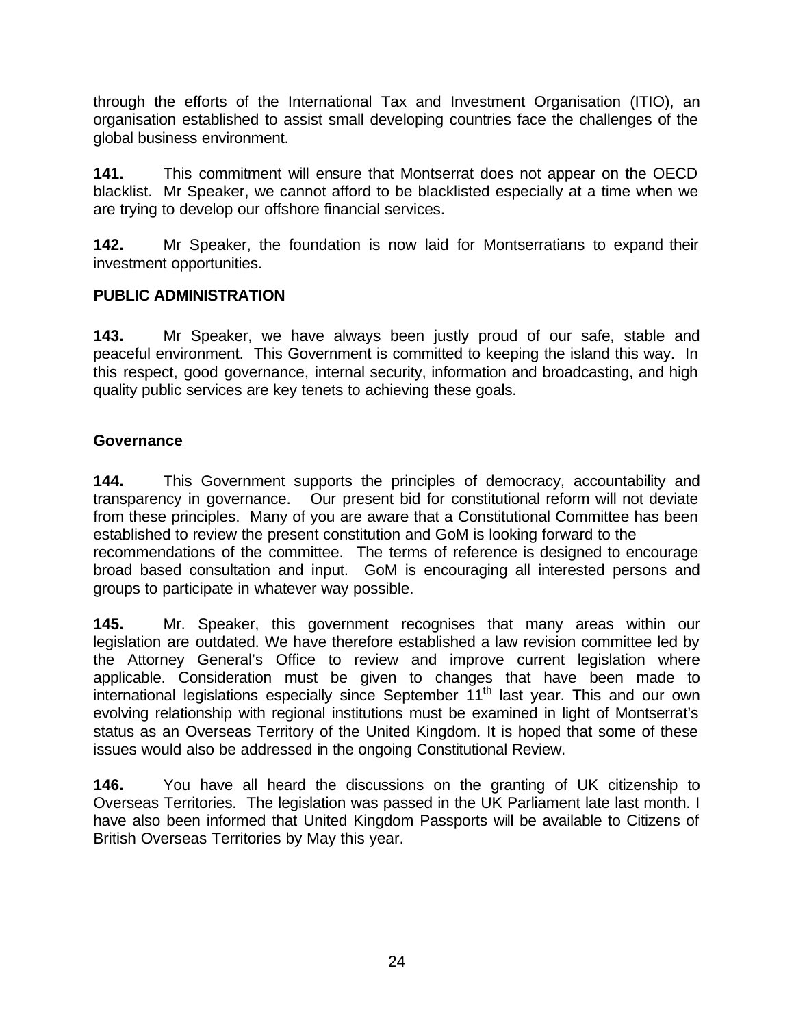through the efforts of the International Tax and Investment Organisation (ITIO), an organisation established to assist small developing countries face the challenges of the global business environment.

**141.** This commitment will ensure that Montserrat does not appear on the OECD blacklist. Mr Speaker, we cannot afford to be blacklisted especially at a time when we are trying to develop our offshore financial services.

**142.** Mr Speaker, the foundation is now laid for Montserratians to expand their investment opportunities.

### **PUBLIC ADMINISTRATION**

**143.** Mr Speaker, we have always been justly proud of our safe, stable and peaceful environment. This Government is committed to keeping the island this way. In this respect, good governance, internal security, information and broadcasting, and high quality public services are key tenets to achieving these goals.

### **Governance**

**144.** This Government supports the principles of democracy, accountability and transparency in governance. Our present bid for constitutional reform will not deviate from these principles. Many of you are aware that a Constitutional Committee has been established to review the present constitution and GoM is looking forward to the recommendations of the committee. The terms of reference is designed to encourage broad based consultation and input. GoM is encouraging all interested persons and groups to participate in whatever way possible.

**145.** Mr. Speaker, this government recognises that many areas within our legislation are outdated. We have therefore established a law revision committee led by the Attorney General's Office to review and improve current legislation where applicable. Consideration must be given to changes that have been made to  $\overrightarrow{h}$  international legislations especially since September  $11<sup>th</sup>$  last year. This and our own evolving relationship with regional institutions must be examined in light of Montserrat's status as an Overseas Territory of the United Kingdom. It is hoped that some of these issues would also be addressed in the ongoing Constitutional Review.

**146.** You have all heard the discussions on the granting of UK citizenship to Overseas Territories. The legislation was passed in the UK Parliament late last month. I have also been informed that United Kingdom Passports will be available to Citizens of British Overseas Territories by May this year.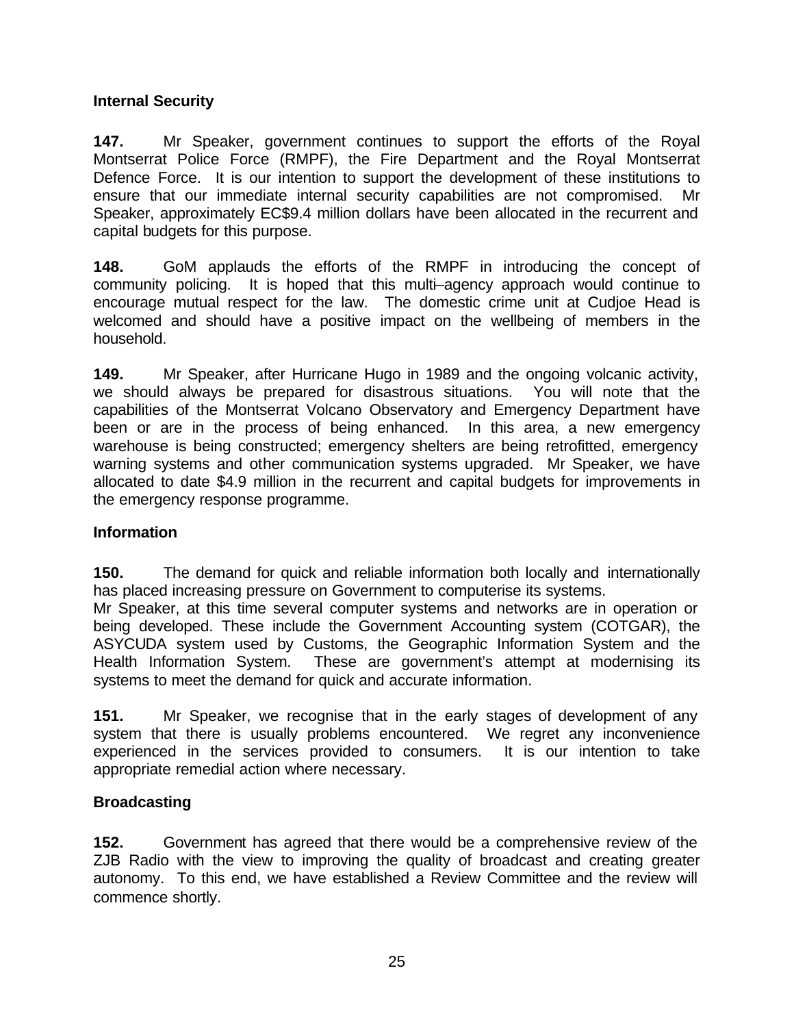### **Internal Security**

**147.** Mr Speaker, government continues to support the efforts of the Royal Montserrat Police Force (RMPF), the Fire Department and the Royal Montserrat Defence Force. It is our intention to support the development of these institutions to ensure that our immediate internal security capabilities are not compromised. Mr Speaker, approximately EC\$9.4 million dollars have been allocated in the recurrent and capital budgets for this purpose.

**148.** GoM applauds the efforts of the RMPF in introducing the concept of community policing. It is hoped that this multi–agency approach would continue to encourage mutual respect for the law. The domestic crime unit at Cudjoe Head is welcomed and should have a positive impact on the wellbeing of members in the household.

**149.** Mr Speaker, after Hurricane Hugo in 1989 and the ongoing volcanic activity, we should always be prepared for disastrous situations. You will note that the capabilities of the Montserrat Volcano Observatory and Emergency Department have been or are in the process of being enhanced. In this area, a new emergency warehouse is being constructed; emergency shelters are being retrofitted, emergency warning systems and other communication systems upgraded. Mr Speaker, we have allocated to date \$4.9 million in the recurrent and capital budgets for improvements in the emergency response programme.

#### **Information**

**150.** The demand for quick and reliable information both locally and internationally has placed increasing pressure on Government to computerise its systems.

Mr Speaker, at this time several computer systems and networks are in operation or being developed. These include the Government Accounting system (COTGAR), the ASYCUDA system used by Customs, the Geographic Information System and the Health Information System. These are government's attempt at modernising its systems to meet the demand for quick and accurate information.

**151.** Mr Speaker, we recognise that in the early stages of development of any system that there is usually problems encountered. We regret any inconvenience experienced in the services provided to consumers. It is our intention to take appropriate remedial action where necessary.

### **Broadcasting**

**152.** Government has agreed that there would be a comprehensive review of the ZJB Radio with the view to improving the quality of broadcast and creating greater autonomy. To this end, we have established a Review Committee and the review will commence shortly.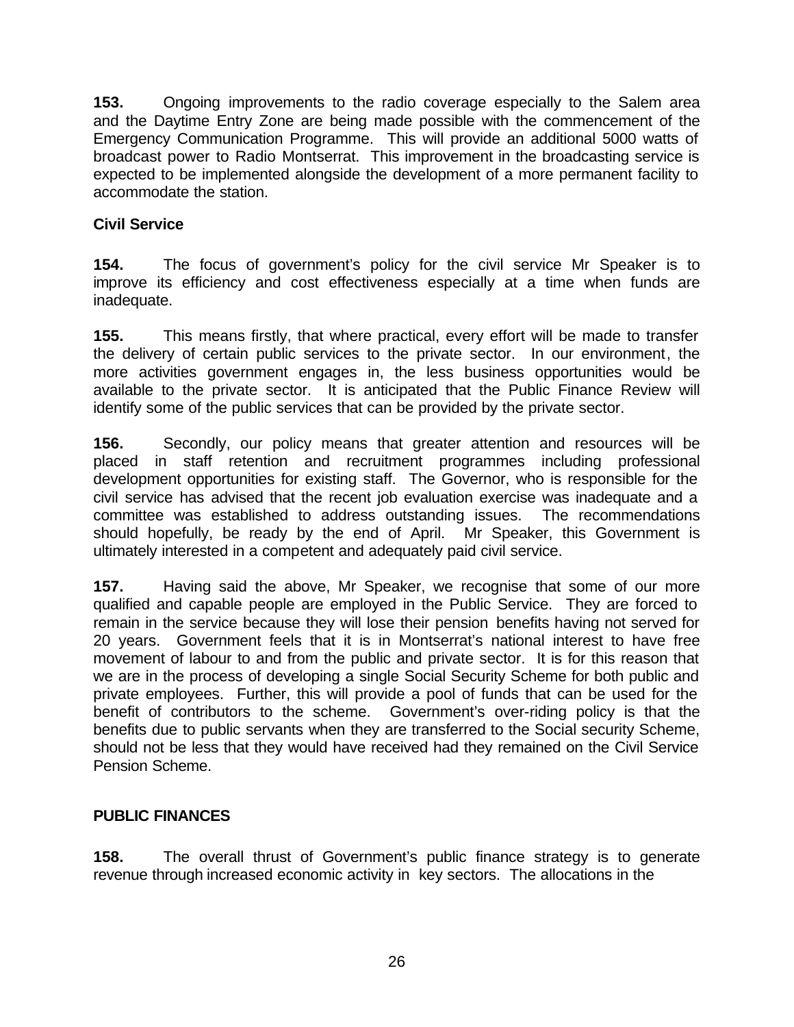**153.** Ongoing improvements to the radio coverage especially to the Salem area and the Daytime Entry Zone are being made possible with the commencement of the Emergency Communication Programme. This will provide an additional 5000 watts of broadcast power to Radio Montserrat. This improvement in the broadcasting service is expected to be implemented alongside the development of a more permanent facility to accommodate the station.

### **Civil Service**

**154.** The focus of government's policy for the civil service Mr Speaker is to improve its efficiency and cost effectiveness especially at a time when funds are inadequate.

**155.** This means firstly, that where practical, every effort will be made to transfer the delivery of certain public services to the private sector. In our environment, the more activities government engages in, the less business opportunities would be available to the private sector. It is anticipated that the Public Finance Review will identify some of the public services that can be provided by the private sector.

**156.** Secondly, our policy means that greater attention and resources will be placed in staff retention and recruitment programmes including professional development opportunities for existing staff. The Governor, who is responsible for the civil service has advised that the recent job evaluation exercise was inadequate and a committee was established to address outstanding issues. The recommendations should hopefully, be ready by the end of April. Mr Speaker, this Government is ultimately interested in a competent and adequately paid civil service.

**157.** Having said the above, Mr Speaker, we recognise that some of our more qualified and capable people are employed in the Public Service. They are forced to remain in the service because they will lose their pension benefits having not served for 20 years. Government feels that it is in Montserrat's national interest to have free movement of labour to and from the public and private sector. It is for this reason that we are in the process of developing a single Social Security Scheme for both public and private employees. Further, this will provide a pool of funds that can be used for the benefit of contributors to the scheme. Government's over-riding policy is that the benefits due to public servants when they are transferred to the Social security Scheme, should not be less that they would have received had they remained on the Civil Service Pension Scheme.

### **PUBLIC FINANCES**

**158.** The overall thrust of Government's public finance strategy is to generate revenue through increased economic activity in key sectors. The allocations in the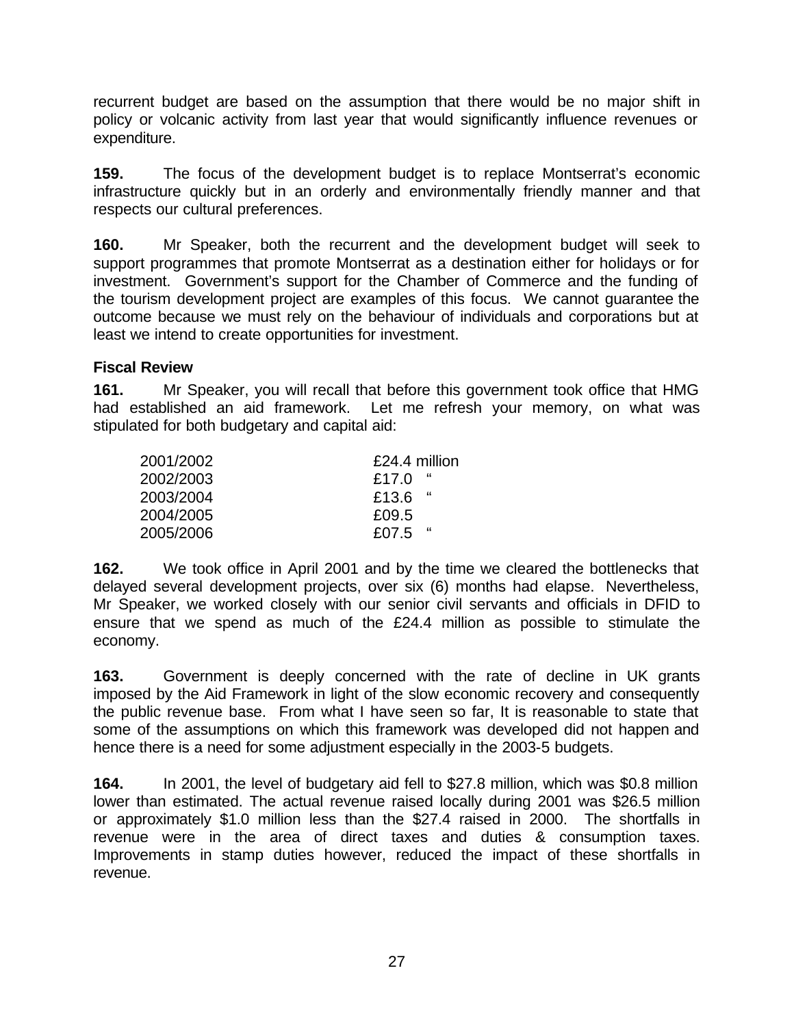recurrent budget are based on the assumption that there would be no major shift in policy or volcanic activity from last year that would significantly influence revenues or expenditure.

**159.** The focus of the development budget is to replace Montserrat's economic infrastructure quickly but in an orderly and environmentally friendly manner and that respects our cultural preferences.

**160.** Mr Speaker, both the recurrent and the development budget will seek to support programmes that promote Montserrat as a destination either for holidays or for investment. Government's support for the Chamber of Commerce and the funding of the tourism development project are examples of this focus. We cannot guarantee the outcome because we must rely on the behaviour of individuals and corporations but at least we intend to create opportunities for investment.

### **Fiscal Review**

**161.** Mr Speaker, you will recall that before this government took office that HMG had established an aid framework. Let me refresh your memory, on what was stipulated for both budgetary and capital aid:

| 2001/2002 | £24.4 million |
|-----------|---------------|
| 2002/2003 | "<br>£17.0    |
| 2003/2004 | - 66<br>£13.6 |
| 2004/2005 | £09.5         |
| 2005/2006 | - 66<br>£07.5 |

**162.** We took office in April 2001 and by the time we cleared the bottlenecks that delayed several development projects, over six (6) months had elapse. Nevertheless, Mr Speaker, we worked closely with our senior civil servants and officials in DFID to ensure that we spend as much of the £24.4 million as possible to stimulate the economy.

**163.** Government is deeply concerned with the rate of decline in UK grants imposed by the Aid Framework in light of the slow economic recovery and consequently the public revenue base. From what I have seen so far, It is reasonable to state that some of the assumptions on which this framework was developed did not happen and hence there is a need for some adjustment especially in the 2003-5 budgets.

**164.** In 2001, the level of budgetary aid fell to \$27.8 million, which was \$0.8 million lower than estimated. The actual revenue raised locally during 2001 was \$26.5 million or approximately \$1.0 million less than the \$27.4 raised in 2000. The shortfalls in revenue were in the area of direct taxes and duties & consumption taxes. Improvements in stamp duties however, reduced the impact of these shortfalls in revenue.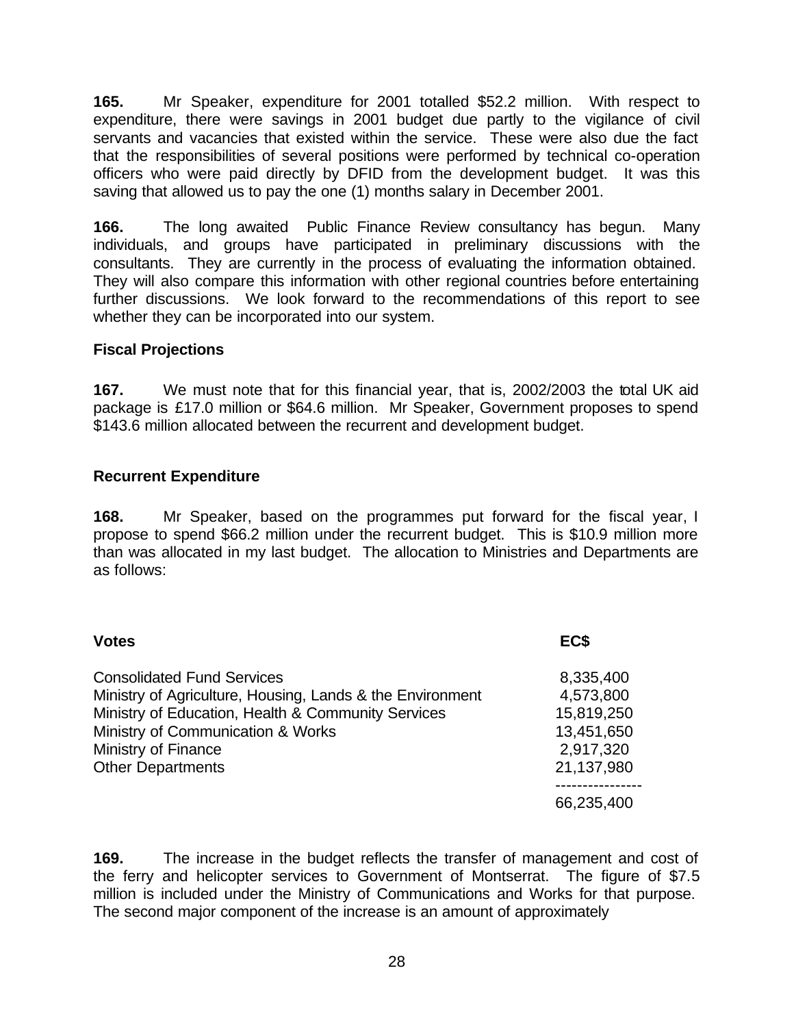**165.** Mr Speaker, expenditure for 2001 totalled \$52.2 million. With respect to expenditure, there were savings in 2001 budget due partly to the vigilance of civil servants and vacancies that existed within the service. These were also due the fact that the responsibilities of several positions were performed by technical co-operation officers who were paid directly by DFID from the development budget. It was this saving that allowed us to pay the one (1) months salary in December 2001.

**166.** The long awaited Public Finance Review consultancy has begun. Many individuals, and groups have participated in preliminary discussions with the consultants. They are currently in the process of evaluating the information obtained. They will also compare this information with other regional countries before entertaining further discussions. We look forward to the recommendations of this report to see whether they can be incorporated into our system.

### **Fiscal Projections**

**167.** We must note that for this financial year, that is, 2002/2003 the total UK aid package is £17.0 million or \$64.6 million. Mr Speaker, Government proposes to spend \$143.6 million allocated between the recurrent and development budget.

### **Recurrent Expenditure**

**168.** Mr Speaker, based on the programmes put forward for the fiscal year, I propose to spend \$66.2 million under the recurrent budget. This is \$10.9 million more than was allocated in my last budget. The allocation to Ministries and Departments are as follows:

| <b>Votes</b>                                                                                                                                                                                                                                 | EC\$                                                                          |
|----------------------------------------------------------------------------------------------------------------------------------------------------------------------------------------------------------------------------------------------|-------------------------------------------------------------------------------|
| <b>Consolidated Fund Services</b><br>Ministry of Agriculture, Housing, Lands & the Environment<br>Ministry of Education, Health & Community Services<br>Ministry of Communication & Works<br>Ministry of Finance<br><b>Other Departments</b> | 8,335,400<br>4,573,800<br>15,819,250<br>13,451,650<br>2,917,320<br>21,137,980 |
|                                                                                                                                                                                                                                              | 66,235,400                                                                    |

**169.** The increase in the budget reflects the transfer of management and cost of the ferry and helicopter services to Government of Montserrat. The figure of \$7.5 million is included under the Ministry of Communications and Works for that purpose. The second major component of the increase is an amount of approximately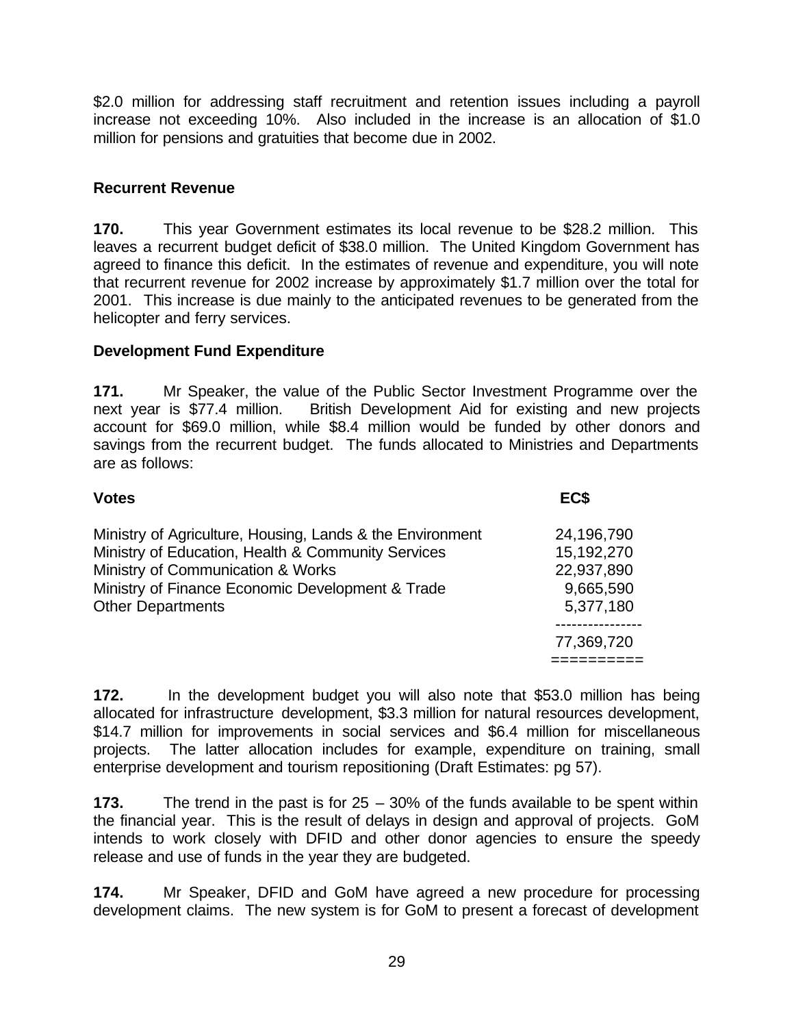\$2.0 million for addressing staff recruitment and retention issues including a payroll increase not exceeding 10%. Also included in the increase is an allocation of \$1.0 million for pensions and gratuities that become due in 2002.

### **Recurrent Revenue**

**170.** This year Government estimates its local revenue to be \$28.2 million. This leaves a recurrent budget deficit of \$38.0 million. The United Kingdom Government has agreed to finance this deficit. In the estimates of revenue and expenditure, you will note that recurrent revenue for 2002 increase by approximately \$1.7 million over the total for 2001. This increase is due mainly to the anticipated revenues to be generated from the helicopter and ferry services.

### **Development Fund Expenditure**

**171.** Mr Speaker, the value of the Public Sector Investment Programme over the next year is \$77.4 million. British Development Aid for existing and new projects account for \$69.0 million, while \$8.4 million would be funded by other donors and savings from the recurrent budget. The funds allocated to Ministries and Departments are as follows:

| EC\$                                                                                                                                                                                                                                                                                                     |  |
|----------------------------------------------------------------------------------------------------------------------------------------------------------------------------------------------------------------------------------------------------------------------------------------------------------|--|
| Ministry of Agriculture, Housing, Lands & the Environment<br>24,196,790<br>Ministry of Education, Health & Community Services<br>15,192,270<br>Ministry of Communication & Works<br>22,937,890<br>Ministry of Finance Economic Development & Trade<br>9,665,590<br><b>Other Departments</b><br>5,377,180 |  |
| 77,369,720                                                                                                                                                                                                                                                                                               |  |
|                                                                                                                                                                                                                                                                                                          |  |

**172.** In the development budget you will also note that \$53.0 million has being allocated for infrastructure development, \$3.3 million for natural resources development, \$14.7 million for improvements in social services and \$6.4 million for miscellaneous projects. The latter allocation includes for example, expenditure on training, small enterprise development and tourism repositioning (Draft Estimates: pg 57).

**173.** The trend in the past is for 25 – 30% of the funds available to be spent within the financial year. This is the result of delays in design and approval of projects. GoM intends to work closely with DFID and other donor agencies to ensure the speedy release and use of funds in the year they are budgeted.

**174.** Mr Speaker, DFID and GoM have agreed a new procedure for processing development claims. The new system is for GoM to present a forecast of development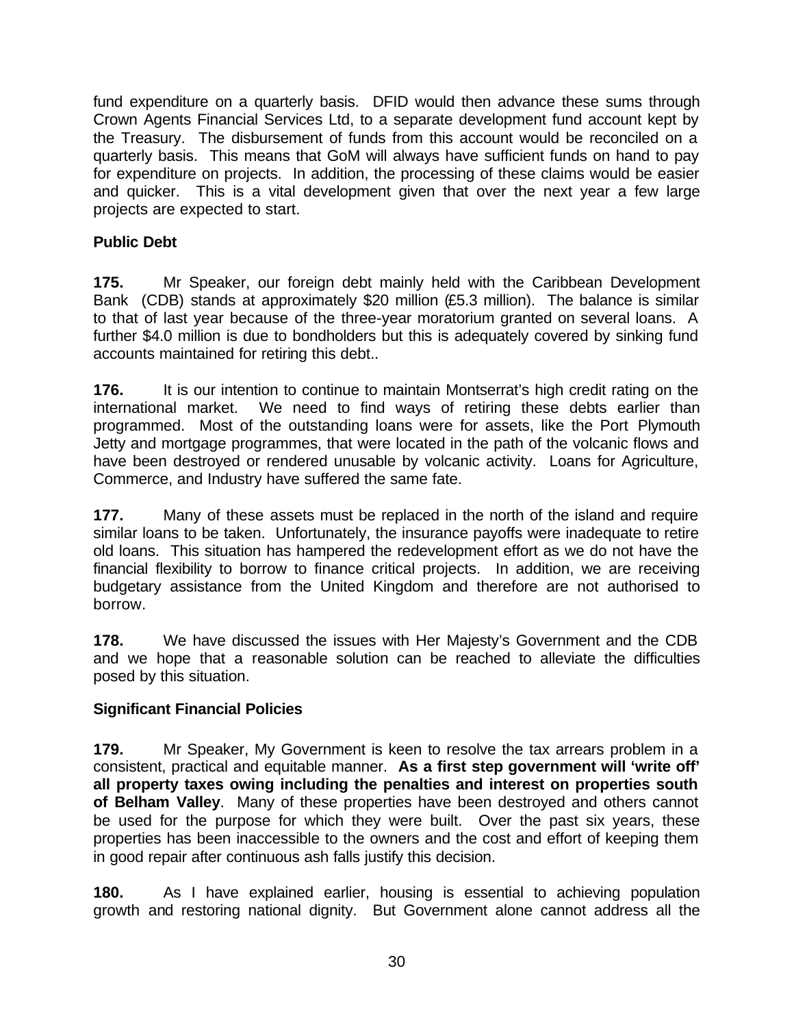fund expenditure on a quarterly basis. DFID would then advance these sums through Crown Agents Financial Services Ltd, to a separate development fund account kept by the Treasury. The disbursement of funds from this account would be reconciled on a quarterly basis. This means that GoM will always have sufficient funds on hand to pay for expenditure on projects. In addition, the processing of these claims would be easier and quicker. This is a vital development given that over the next year a few large projects are expected to start.

### **Public Debt**

**175.** Mr Speaker, our foreign debt mainly held with the Caribbean Development Bank (CDB) stands at approximately \$20 million (£5.3 million). The balance is similar to that of last year because of the three-year moratorium granted on several loans. A further \$4.0 million is due to bondholders but this is adequately covered by sinking fund accounts maintained for retiring this debt..

**176.** It is our intention to continue to maintain Montserrat's high credit rating on the international market. We need to find ways of retiring these debts earlier than programmed. Most of the outstanding loans were for assets, like the Port Plymouth Jetty and mortgage programmes, that were located in the path of the volcanic flows and have been destroyed or rendered unusable by volcanic activity. Loans for Agriculture, Commerce, and Industry have suffered the same fate.

**177.** Many of these assets must be replaced in the north of the island and require similar loans to be taken. Unfortunately, the insurance payoffs were inadequate to retire old loans. This situation has hampered the redevelopment effort as we do not have the financial flexibility to borrow to finance critical projects. In addition, we are receiving budgetary assistance from the United Kingdom and therefore are not authorised to borrow.

**178.** We have discussed the issues with Her Majesty's Government and the CDB and we hope that a reasonable solution can be reached to alleviate the difficulties posed by this situation.

#### **Significant Financial Policies**

**179.** Mr Speaker, My Government is keen to resolve the tax arrears problem in a consistent, practical and equitable manner. **As a first step government will 'write off' all property taxes owing including the penalties and interest on properties south of Belham Valley**. Many of these properties have been destroyed and others cannot be used for the purpose for which they were built. Over the past six years, these properties has been inaccessible to the owners and the cost and effort of keeping them in good repair after continuous ash falls justify this decision.

**180.** As I have explained earlier, housing is essential to achieving population growth and restoring national dignity. But Government alone cannot address all the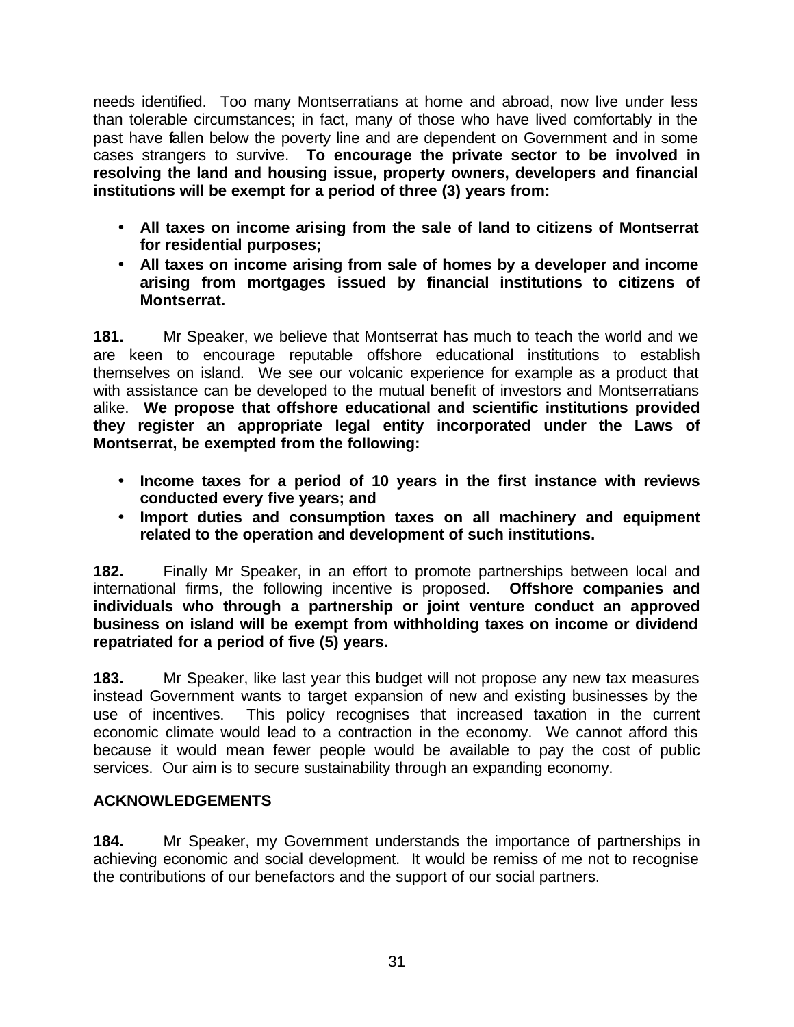needs identified. Too many Montserratians at home and abroad, now live under less than tolerable circumstances; in fact, many of those who have lived comfortably in the past have fallen below the poverty line and are dependent on Government and in some cases strangers to survive. **To encourage the private sector to be involved in resolving the land and housing issue, property owners, developers and financial institutions will be exempt for a period of three (3) years from:**

- **All taxes on income arising from the sale of land to citizens of Montserrat for residential purposes;**
- **All taxes on income arising from sale of homes by a developer and income arising from mortgages issued by financial institutions to citizens of Montserrat.**

**181.** Mr Speaker, we believe that Montserrat has much to teach the world and we are keen to encourage reputable offshore educational institutions to establish themselves on island. We see our volcanic experience for example as a product that with assistance can be developed to the mutual benefit of investors and Montserratians alike. **We propose that offshore educational and scientific institutions provided they register an appropriate legal entity incorporated under the Laws of Montserrat, be exempted from the following:**

- **Income taxes for a period of 10 years in the first instance with reviews conducted every five years; and**
- **Import duties and consumption taxes on all machinery and equipment related to the operation and development of such institutions.**

**182.** Finally Mr Speaker, in an effort to promote partnerships between local and international firms, the following incentive is proposed. **Offshore companies and individuals who through a partnership or joint venture conduct an approved business on island will be exempt from withholding taxes on income or dividend repatriated for a period of five (5) years.** 

**183.** Mr Speaker, like last year this budget will not propose any new tax measures instead Government wants to target expansion of new and existing businesses by the use of incentives. This policy recognises that increased taxation in the current economic climate would lead to a contraction in the economy. We cannot afford this because it would mean fewer people would be available to pay the cost of public services. Our aim is to secure sustainability through an expanding economy.

### **ACKNOWLEDGEMENTS**

**184.** Mr Speaker, my Government understands the importance of partnerships in achieving economic and social development. It would be remiss of me not to recognise the contributions of our benefactors and the support of our social partners.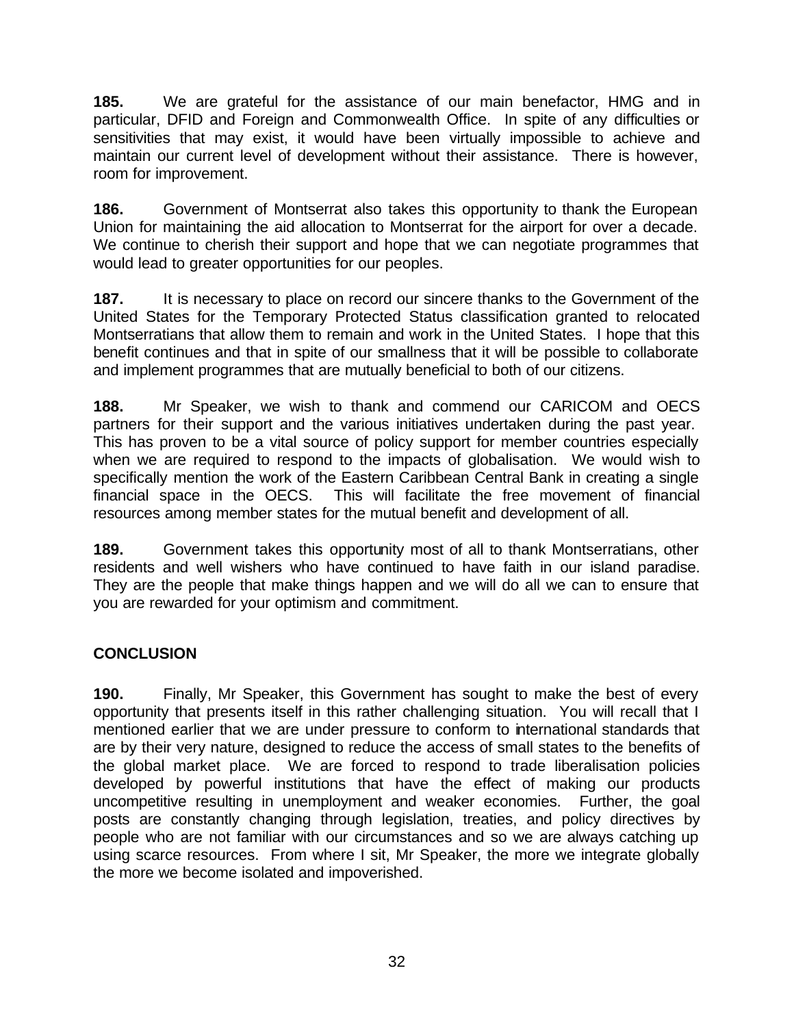**185.** We are grateful for the assistance of our main benefactor, HMG and in particular, DFID and Foreign and Commonwealth Office. In spite of any difficulties or sensitivities that may exist, it would have been virtually impossible to achieve and maintain our current level of development without their assistance. There is however, room for improvement.

**186.** Government of Montserrat also takes this opportunity to thank the European Union for maintaining the aid allocation to Montserrat for the airport for over a decade. We continue to cherish their support and hope that we can negotiate programmes that would lead to greater opportunities for our peoples.

**187.** It is necessary to place on record our sincere thanks to the Government of the United States for the Temporary Protected Status classification granted to relocated Montserratians that allow them to remain and work in the United States. I hope that this benefit continues and that in spite of our smallness that it will be possible to collaborate and implement programmes that are mutually beneficial to both of our citizens.

**188.** Mr Speaker, we wish to thank and commend our CARICOM and OECS partners for their support and the various initiatives undertaken during the past year. This has proven to be a vital source of policy support for member countries especially when we are required to respond to the impacts of globalisation. We would wish to specifically mention the work of the Eastern Caribbean Central Bank in creating a single financial space in the OECS. This will facilitate the free movement of financial resources among member states for the mutual benefit and development of all.

**189.** Government takes this opportunity most of all to thank Montserratians, other residents and well wishers who have continued to have faith in our island paradise. They are the people that make things happen and we will do all we can to ensure that you are rewarded for your optimism and commitment.

## **CONCLUSION**

**190.** Finally, Mr Speaker, this Government has sought to make the best of every opportunity that presents itself in this rather challenging situation. You will recall that I mentioned earlier that we are under pressure to conform to international standards that are by their very nature, designed to reduce the access of small states to the benefits of the global market place. We are forced to respond to trade liberalisation policies developed by powerful institutions that have the effect of making our products uncompetitive resulting in unemployment and weaker economies. Further, the goal posts are constantly changing through legislation, treaties, and policy directives by people who are not familiar with our circumstances and so we are always catching up using scarce resources. From where I sit, Mr Speaker, the more we integrate globally the more we become isolated and impoverished.